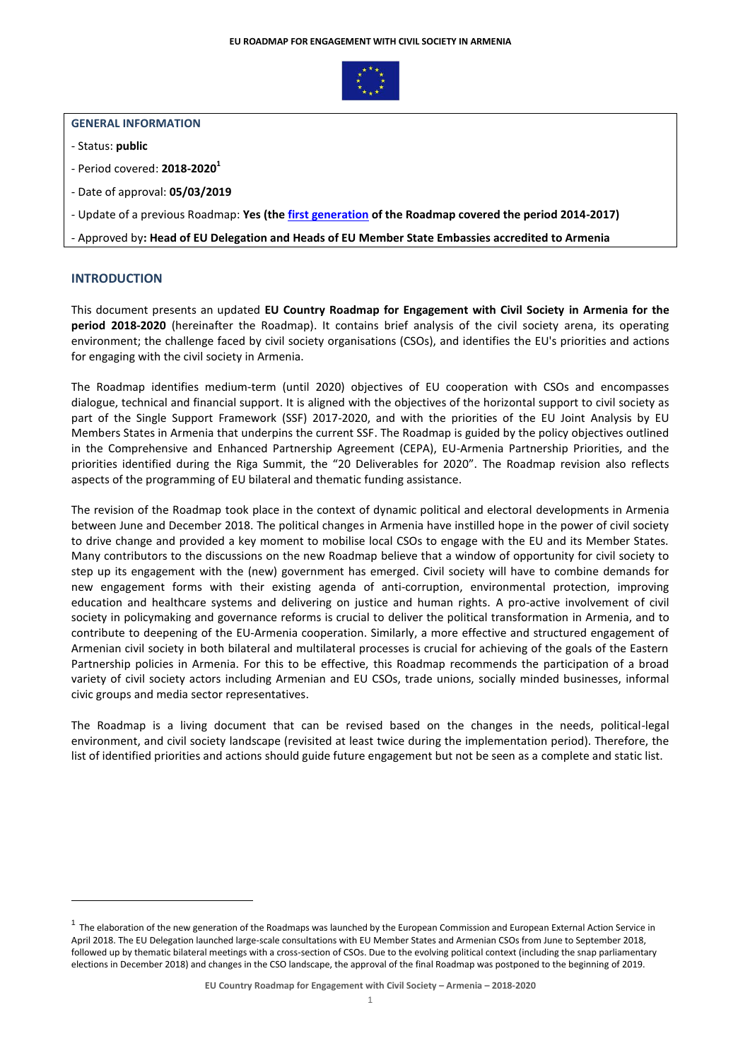

## **GENERAL INFORMATION**

- Status: **public**
- Period covered: **2018-2020<sup>1</sup>**
- Date of approval: **05/03/2019**
- Update of a previous Roadmap: **Yes (th[e first generation](https://eeas.europa.eu/sites/eeas/files/20141027_eu_armenia_cs_roadmap_en_0.pdf) of the Roadmap covered the period 2014-2017)**

- Approved by**: Head of EU Delegation and Heads of EU Member State Embassies accredited to Armenia** 

# **INTRODUCTION**

1

This document presents an updated **EU Country Roadmap for Engagement with Civil Society in Armenia for the period 2018-2020** (hereinafter the Roadmap). It contains brief analysis of the civil society arena, its operating environment; the challenge faced by civil society organisations (CSOs), and identifies the EU's priorities and actions for engaging with the civil society in Armenia.

The Roadmap identifies medium-term (until 2020) objectives of EU cooperation with CSOs and encompasses dialogue, technical and financial support. It is aligned with the objectives of the horizontal support to civil society as part of the Single Support Framework (SSF) 2017-2020, and with the priorities of the EU Joint Analysis by EU Members States in Armenia that underpins the current SSF. The Roadmap is guided by the policy objectives outlined in the Comprehensive and Enhanced Partnership Agreement (CEPA), EU-Armenia Partnership Priorities, and the priorities identified during the Riga Summit, the "20 Deliverables for 2020". The Roadmap revision also reflects aspects of the programming of EU bilateral and thematic funding assistance.

The revision of the Roadmap took place in the context of dynamic political and electoral developments in Armenia between June and December 2018. The political changes in Armenia have instilled hope in the power of civil society to drive change and provided a key moment to mobilise local CSOs to engage with the EU and its Member States. Many contributors to the discussions on the new Roadmap believe that a window of opportunity for civil society to step up its engagement with the (new) government has emerged. Civil society will have to combine demands for new engagement forms with their existing agenda of anti-corruption, environmental protection, improving education and healthcare systems and delivering on justice and human rights. A pro-active involvement of civil society in policymaking and governance reforms is crucial to deliver the political transformation in Armenia, and to contribute to deepening of the EU-Armenia cooperation. Similarly, a more effective and structured engagement of Armenian civil society in both bilateral and multilateral processes is crucial for achieving of the goals of the Eastern Partnership policies in Armenia. For this to be effective, this Roadmap recommends the participation of a broad variety of civil society actors including Armenian and EU CSOs, trade unions, socially minded businesses, informal civic groups and media sector representatives.

The Roadmap is a living document that can be revised based on the changes in the needs, political-legal environment, and civil society landscape (revisited at least twice during the implementation period). Therefore, the list of identified priorities and actions should guide future engagement but not be seen as a complete and static list.

<sup>&</sup>lt;sup>1</sup> The elaboration of the new generation of the Roadmaps was launched by the European Commission and European External Action Service in April 2018. The EU Delegation launched large-scale consultations with EU Member States and Armenian CSOs from June to September 2018, followed up by thematic bilateral meetings with a cross-section of CSOs. Due to the evolving political context (including the snap parliamentary elections in December 2018) and changes in the CSO landscape, the approval of the final Roadmap was postponed to the beginning of 2019.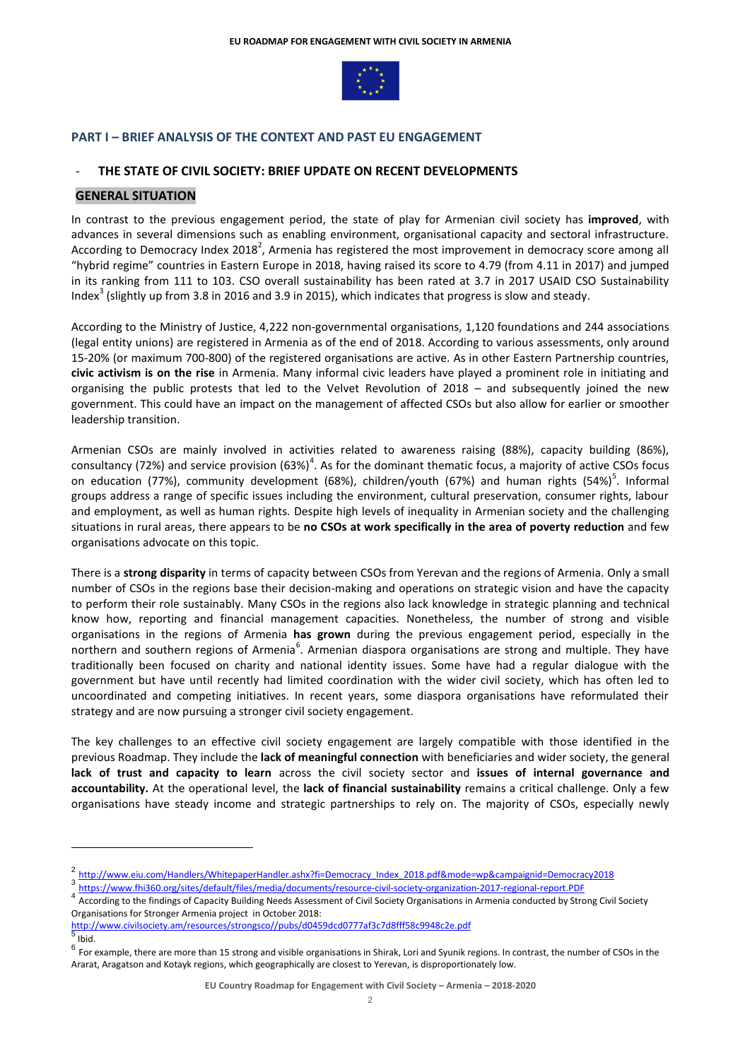

## **PART I – BRIEF ANALYSIS OF THE CONTEXT AND PAST EU ENGAGEMENT**

# **THE STATE OF CIVIL SOCIETY: BRIEF UPDATE ON RECENT DEVELOPMENTS**

## **GENERAL SITUATION**

In contrast to the previous engagement period, the state of play for Armenian civil society has **improved**, with advances in several dimensions such as enabling environment, organisational capacity and sectoral infrastructure. According to Democracy Index 2018<sup>2</sup>, Armenia has registered the most improvement in democracy score among all "hybrid regime" countries in Eastern Europe in 2018, having raised its score to 4.79 (from 4.11 in 2017) and jumped in its ranking from 111 to 103. CSO overall sustainability has been rated at 3.7 in 2017 USAID CSO Sustainability Index<sup>3</sup> (slightly up from 3.8 in 2016 and 3.9 in 2015), which indicates that progress is slow and steady.

According to the Ministry of Justice, 4,222 non-governmental organisations, 1,120 foundations and 244 associations (legal entity unions) are registered in Armenia as of the end of 2018. According to various assessments, only around 15-20% (or maximum 700-800) of the registered organisations are active. As in other Eastern Partnership countries, **civic activism is on the rise** in Armenia. Many informal civic leaders have played a prominent role in initiating and organising the public protests that led to the Velvet Revolution of 2018 – and subsequently joined the new government. This could have an impact on the management of affected CSOs but also allow for earlier or smoother leadership transition.

Armenian CSOs are mainly involved in activities related to awareness raising (88%), capacity building (86%), consultancy (72%) and service provision (63%)<sup>4</sup>. As for the dominant thematic focus, a majority of active CSOs focus on education (77%), community development (68%), children/youth (67%) and human rights (54%)<sup>5</sup>. Informal groups address a range of specific issues including the environment, cultural preservation, consumer rights, labour and employment, as well as human rights. Despite high levels of inequality in Armenian society and the challenging situations in rural areas, there appears to be **no CSOs at work specifically in the area of poverty reduction** and few organisations advocate on this topic.

There is a **strong disparity** in terms of capacity between CSOs from Yerevan and the regions of Armenia. Only a small number of CSOs in the regions base their decision-making and operations on strategic vision and have the capacity to perform their role sustainably. Many CSOs in the regions also lack knowledge in strategic planning and technical know how, reporting and financial management capacities. Nonetheless, the number of strong and visible organisations in the regions of Armenia **has grown** during the previous engagement period, especially in the northern and southern regions of Armenia<sup>6</sup>. Armenian diaspora organisations are strong and multiple. They have traditionally been focused on charity and national identity issues. Some have had a regular dialogue with the government but have until recently had limited coordination with the wider civil society, which has often led to uncoordinated and competing initiatives. In recent years, some diaspora organisations have reformulated their strategy and are now pursuing a stronger civil society engagement.

The key challenges to an effective civil society engagement are largely compatible with those identified in the previous Roadmap. They include the **lack of meaningful connection** with beneficiaries and wider society, the general **lack of trust and capacity to learn** across the civil society sector and **issues of internal governance and accountability.** At the operational level, the **lack of financial sustainability** remains a critical challenge. Only a few organisations have steady income and strategic partnerships to rely on. The majority of CSOs, especially newly

<u>.</u>

<sup>2&</sup>lt;br>[http://www.eiu.com/Handlers/WhitepaperHandler.ashx?fi=Democracy\\_Index\\_2018.pdf&mode=wp&campaignid=Democracy2018](http://www.eiu.com/Handlers/WhitepaperHandler.ashx?fi=Democracy_Index_2018.pdf&mode=wp&campaignid=Democracy2018)

<sup>3&</sup>lt;br>A <https://www.fhi360.org/sites/default/files/media/documents/resource-civil-society-organization-2017-regional-report.PDF><br>4 Appellied to the Cultural District District Apple to the Cultural District Cultural District App

According to the findings of Capacity Building Needs Assessment of Civil Society Organisations in Armenia conducted by Strong Civil Society Organisations for Stronger Armenia project in October 2018:

[http://www.civilsociety.am/resources/strongsco//pubs/d0459dcd0777af3c7d8fff58c9948c2e.pdf](http://www.civilsociety.am/resources/strongsco/pubs/d0459dcd0777af3c7d8fff58c9948c2e.pdf) 5 Ibid.

 $^6$  For example, there are more than 15 strong and visible organisations in Shirak, Lori and Syunik regions. In contrast, the number of CSOs in the Ararat, Aragatson and Kotayk regions, which geographically are closest to Yerevan, is disproportionately low.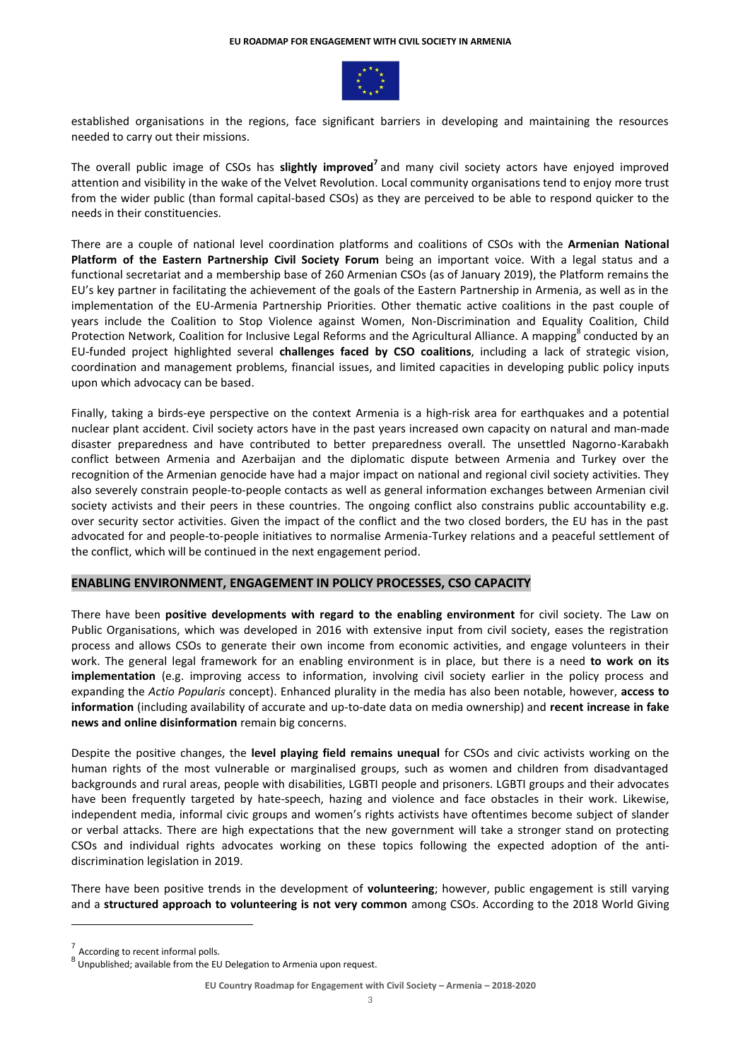

established organisations in the regions, face significant barriers in developing and maintaining the resources needed to carry out their missions.

The overall public image of CSOs has **slightly improved<sup>7</sup>** and many civil society actors have enjoyed improved attention and visibility in the wake of the Velvet Revolution. Local community organisations tend to enjoy more trust from the wider public (than formal capital-based CSOs) as they are perceived to be able to respond quicker to the needs in their constituencies.

There are a couple of national level coordination platforms and coalitions of CSOs with the **Armenian National Platform of the Eastern Partnership Civil Society Forum** being an important voice. With a legal status and a functional secretariat and a membership base of 260 Armenian CSOs (as of January 2019), the Platform remains the EU's key partner in facilitating the achievement of the goals of the Eastern Partnership in Armenia, as well as in the implementation of the EU-Armenia Partnership Priorities. Other thematic active coalitions in the past couple of years include the Coalition to Stop Violence against Women, Non-Discrimination and Equality Coalition, Child Protection Network, Coalition for Inclusive Legal Reforms and the Agricultural Alliance. A mapping<sup>8</sup> conducted by an EU-funded project highlighted several **challenges faced by CSO coalitions**, including a lack of strategic vision, coordination and management problems, financial issues, and limited capacities in developing public policy inputs upon which advocacy can be based.

Finally, taking a birds-eye perspective on the context Armenia is a high-risk area for earthquakes and a potential nuclear plant accident. Civil society actors have in the past years increased own capacity on natural and man-made disaster preparedness and have contributed to better preparedness overall. The unsettled Nagorno-Karabakh conflict between Armenia and Azerbaijan and the diplomatic dispute between Armenia and Turkey over the recognition of the Armenian genocide have had a major impact on national and regional civil society activities. They also severely constrain people-to-people contacts as well as general information exchanges between Armenian civil society activists and their peers in these countries. The ongoing conflict also constrains public accountability e.g. over security sector activities. Given the impact of the conflict and the two closed borders, the EU has in the past advocated for and people-to-people initiatives to normalise Armenia-Turkey relations and a peaceful settlement of the conflict, which will be continued in the next engagement period.

#### **ENABLING ENVIRONMENT, ENGAGEMENT IN POLICY PROCESSES, CSO CAPACITY**

There have been **positive developments with regard to the enabling environment** for civil society. The Law on Public Organisations, which was developed in 2016 with extensive input from civil society, eases the registration process and allows CSOs to generate their own income from economic activities, and engage volunteers in their work. The general legal framework for an enabling environment is in place, but there is a need **to work on its implementation** (e.g. improving access to information, involving civil society earlier in the policy process and expanding the *Actio Popularis* concept). Enhanced plurality in the media has also been notable, however, **access to information** (including availability of accurate and up-to-date data on media ownership) and **recent increase in fake news and online disinformation** remain big concerns.

Despite the positive changes, the **level playing field remains unequal** for CSOs and civic activists working on the human rights of the most vulnerable or marginalised groups, such as women and children from disadvantaged backgrounds and rural areas, people with disabilities, LGBTI people and prisoners. LGBTI groups and their advocates have been frequently targeted by hate-speech, hazing and violence and face obstacles in their work. Likewise, independent media, informal civic groups and women's rights activists have oftentimes become subject of slander or verbal attacks. There are high expectations that the new government will take a stronger stand on protecting CSOs and individual rights advocates working on these topics following the expected adoption of the antidiscrimination legislation in 2019.

There have been positive trends in the development of **volunteering**; however, public engagement is still varying and a **structured approach to volunteering is not very common** among CSOs. According to the 2018 World Giving

1

<sup>7</sup> According to recent informal polls.

<sup>8</sup> Unpublished; available from the EU Delegation to Armenia upon request.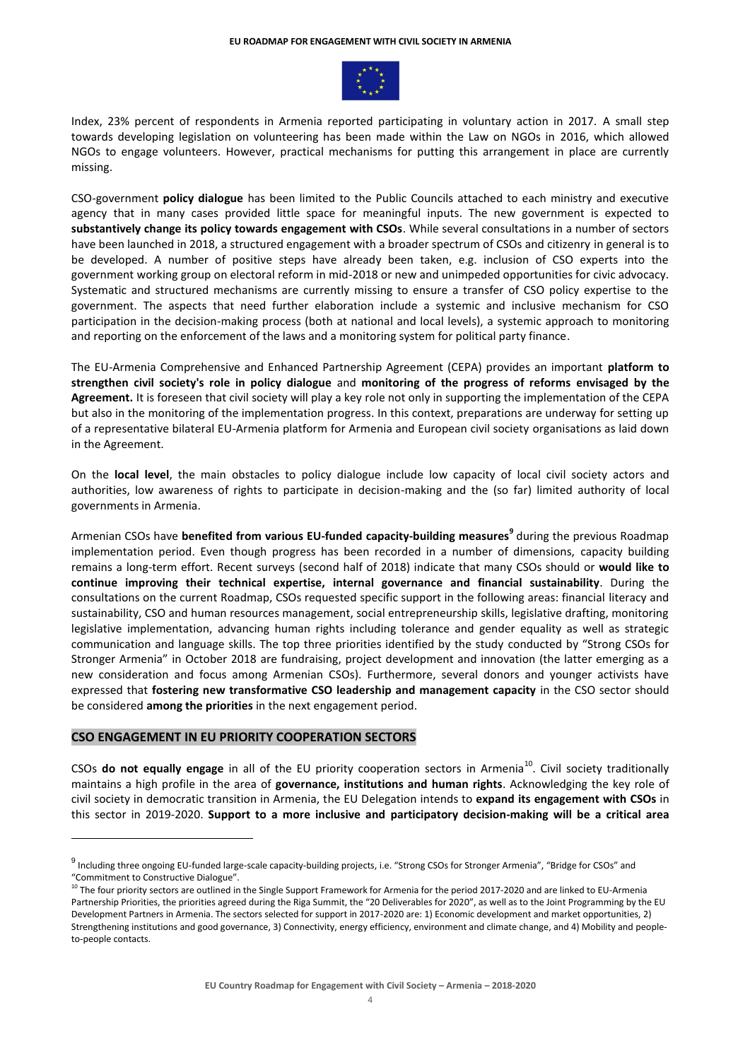

Index, 23% percent of respondents in Armenia reported participating in voluntary action in 2017. A small step towards developing legislation on volunteering has been made within the Law on NGOs in 2016, which allowed NGOs to engage volunteers. However, practical mechanisms for putting this arrangement in place are currently missing.

CSO-government **policy dialogue** has been limited to the Public Councils attached to each ministry and executive agency that in many cases provided little space for meaningful inputs. The new government is expected to **substantively change its policy towards engagement with CSOs**. While several consultations in a number of sectors have been launched in 2018, a structured engagement with a broader spectrum of CSOs and citizenry in general is to be developed. A number of positive steps have already been taken, e.g. inclusion of CSO experts into the government working group on electoral reform in mid-2018 or new and unimpeded opportunities for civic advocacy. Systematic and structured mechanisms are currently missing to ensure a transfer of CSO policy expertise to the government. The aspects that need further elaboration include a systemic and inclusive mechanism for CSO participation in the decision-making process (both at national and local levels), a systemic approach to monitoring and reporting on the enforcement of the laws and a monitoring system for political party finance.

The EU-Armenia Comprehensive and Enhanced Partnership Agreement (CEPA) provides an important **platform to strengthen civil society's role in policy dialogue** and **monitoring of the progress of reforms envisaged by the Agreement.** It is foreseen that civil society will play a key role not only in supporting the implementation of the CEPA but also in the monitoring of the implementation progress. In this context, preparations are underway for setting up of a representative bilateral EU-Armenia platform for Armenia and European civil society organisations as laid down in the Agreement.

On the **local level**, the main obstacles to policy dialogue include low capacity of local civil society actors and authorities, low awareness of rights to participate in decision-making and the (so far) limited authority of local governments in Armenia.

Armenian CSOs have **benefited from various EU-funded capacity-building measures 9** during the previous Roadmap implementation period. Even though progress has been recorded in a number of dimensions, capacity building remains a long-term effort. Recent surveys (second half of 2018) indicate that many CSOs should or **would like to continue improving their technical expertise, internal governance and financial sustainability**. During the consultations on the current Roadmap, CSOs requested specific support in the following areas: financial literacy and sustainability, CSO and human resources management, social entrepreneurship skills, legislative drafting, monitoring legislative implementation, advancing human rights including tolerance and gender equality as well as strategic communication and language skills. The top three priorities identified by the study conducted by "Strong CSOs for Stronger Armenia" in October 2018 are fundraising, project development and innovation (the latter emerging as a new consideration and focus among Armenian CSOs). Furthermore, several donors and younger activists have expressed that **fostering new transformative CSO leadership and management capacity** in the CSO sector should be considered **among the priorities** in the next engagement period.

## **CSO ENGAGEMENT IN EU PRIORITY COOPERATION SECTORS**

1

CSOs do not equally engage in all of the EU priority cooperation sectors in Armenia<sup>10</sup>. Civil society traditionally maintains a high profile in the area of **governance, institutions and human rights**. Acknowledging the key role of civil society in democratic transition in Armenia, the EU Delegation intends to **expand its engagement with CSOs** in this sector in 2019-2020. **Support to a more inclusive and participatory decision-making will be a critical area**

<sup>&</sup>lt;sup>9</sup> Including three ongoing EU-funded large-scale capacity-building projects, i.e. "Strong CSOs for Stronger Armenia", "Bridge for CSOs" and "Commitment to Constructive Dialogue".

<sup>&</sup>lt;sup>10</sup> The four priority sectors are outlined in the Single Support Framework for Armenia for the period 2017-2020 and are linked to EU-Armenia Partnership Priorities, the priorities agreed during the Riga Summit, the "20 Deliverables for 2020", as well as to the Joint Programming by the EU Development Partners in Armenia. The sectors selected for support in 2017-2020 are: 1) Economic development and market opportunities, 2) Strengthening institutions and good governance, 3) Connectivity, energy efficiency, environment and climate change, and 4) Mobility and peopleto-people contacts.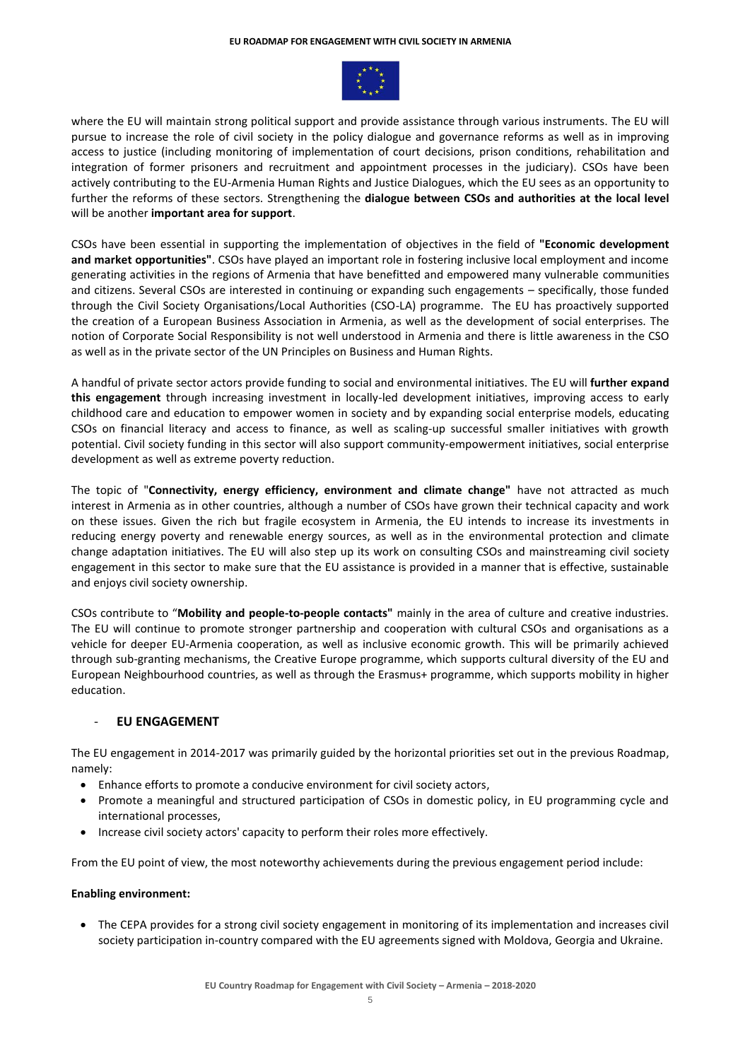

where the EU will maintain strong political support and provide assistance through various instruments. The EU will pursue to increase the role of civil society in the policy dialogue and governance reforms as well as in improving access to justice (including monitoring of implementation of court decisions, prison conditions, rehabilitation and integration of former prisoners and recruitment and appointment processes in the judiciary). CSOs have been actively contributing to the EU-Armenia Human Rights and Justice Dialogues, which the EU sees as an opportunity to further the reforms of these sectors. Strengthening the **dialogue between CSOs and authorities at the local level** will be another **important area for support**.

CSOs have been essential in supporting the implementation of objectives in the field of **"Economic development and market opportunities"**. CSOs have played an important role in fostering inclusive local employment and income generating activities in the regions of Armenia that have benefitted and empowered many vulnerable communities and citizens. Several CSOs are interested in continuing or expanding such engagements – specifically, those funded through the Civil Society Organisations/Local Authorities (CSO-LA) programme. The EU has proactively supported the creation of a European Business Association in Armenia, as well as the development of social enterprises. The notion of Corporate Social Responsibility is not well understood in Armenia and there is little awareness in the CSO as well as in the private sector of the UN Principles on Business and Human Rights.

A handful of private sector actors provide funding to social and environmental initiatives. The EU will **further expand this engagement** through increasing investment in locally-led development initiatives, improving access to early childhood care and education to empower women in society and by expanding social enterprise models, educating CSOs on financial literacy and access to finance, as well as scaling-up successful smaller initiatives with growth potential. Civil society funding in this sector will also support community-empowerment initiatives, social enterprise development as well as extreme poverty reduction.

The topic of "**Connectivity, energy efficiency, environment and climate change"** have not attracted as much interest in Armenia as in other countries, although a number of CSOs have grown their technical capacity and work on these issues. Given the rich but fragile ecosystem in Armenia, the EU intends to increase its investments in reducing energy poverty and renewable energy sources, as well as in the environmental protection and climate change adaptation initiatives. The EU will also step up its work on consulting CSOs and mainstreaming civil society engagement in this sector to make sure that the EU assistance is provided in a manner that is effective, sustainable and enjoys civil society ownership.

CSOs contribute to "**Mobility and people-to-people contacts"** mainly in the area of culture and creative industries. The EU will continue to promote stronger partnership and cooperation with cultural CSOs and organisations as a vehicle for deeper EU-Armenia cooperation, as well as inclusive economic growth. This will be primarily achieved through sub-granting mechanisms, the Creative Europe programme, which supports cultural diversity of the EU and European Neighbourhood countries, as well as through the Erasmus+ programme, which supports mobility in higher education.

# - **EU ENGAGEMENT**

The EU engagement in 2014-2017 was primarily guided by the horizontal priorities set out in the previous Roadmap, namely:

- Enhance efforts to promote a conducive environment for civil society actors,
- Promote a meaningful and structured participation of CSOs in domestic policy, in EU programming cycle and international processes,
- Increase civil society actors' capacity to perform their roles more effectively.

From the EU point of view, the most noteworthy achievements during the previous engagement period include:

## **Enabling environment:**

 The CEPA provides for a strong civil society engagement in monitoring of its implementation and increases civil society participation in-country compared with the EU agreements signed with Moldova, Georgia and Ukraine.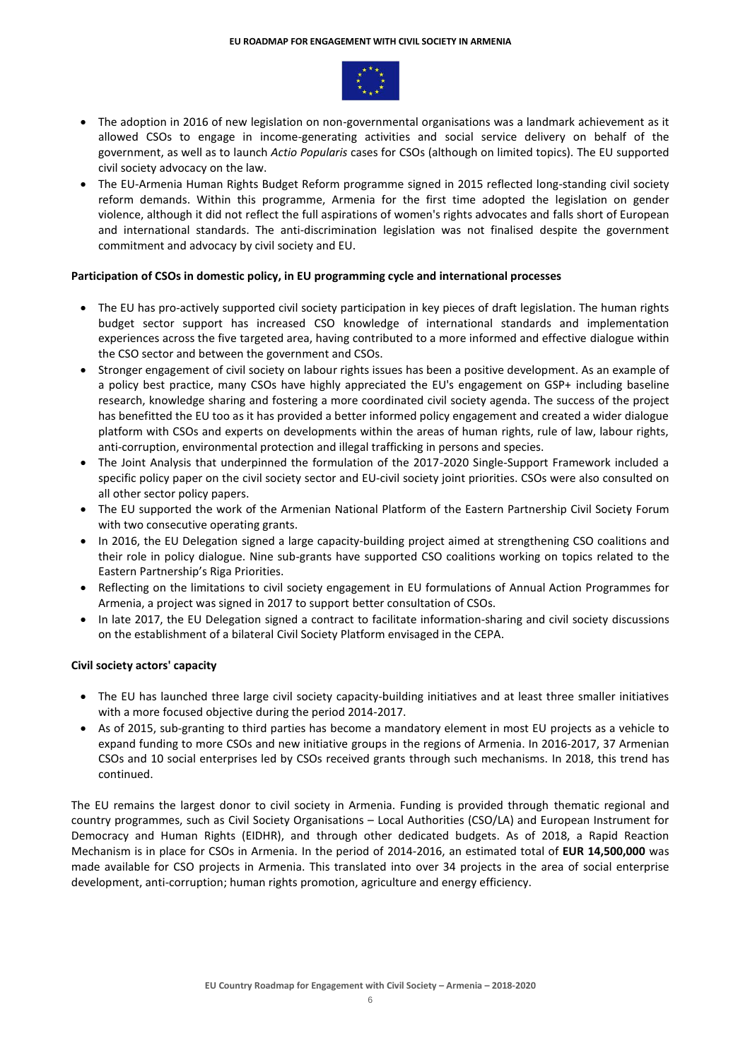

- The adoption in 2016 of new legislation on non-governmental organisations was a landmark achievement as it allowed CSOs to engage in income-generating activities and social service delivery on behalf of the government, as well as to launch *Actio Popularis* cases for CSOs (although on limited topics). The EU supported civil society advocacy on the law.
- The EU-Armenia Human Rights Budget Reform programme signed in 2015 reflected long-standing civil society reform demands. Within this programme, Armenia for the first time adopted the legislation on gender violence, although it did not reflect the full aspirations of women's rights advocates and falls short of European and international standards. The anti-discrimination legislation was not finalised despite the government commitment and advocacy by civil society and EU.

## **Participation of CSOs in domestic policy, in EU programming cycle and international processes**

- The EU has pro-actively supported civil society participation in key pieces of draft legislation. The human rights budget sector support has increased CSO knowledge of international standards and implementation experiences across the five targeted area, having contributed to a more informed and effective dialogue within the CSO sector and between the government and CSOs.
- Stronger engagement of civil society on labour rights issues has been a positive development. As an example of a policy best practice, many CSOs have highly appreciated the EU's engagement on GSP+ including baseline research, knowledge sharing and fostering a more coordinated civil society agenda. The success of the project has benefitted the EU too as it has provided a better informed policy engagement and created a wider dialogue platform with CSOs and experts on developments within the areas of human rights, rule of law, labour rights, anti-corruption, environmental protection and illegal trafficking in persons and species.
- The Joint Analysis that underpinned the formulation of the 2017-2020 Single-Support Framework included a specific policy paper on the civil society sector and EU-civil society joint priorities. CSOs were also consulted on all other sector policy papers.
- The EU supported the work of the Armenian National Platform of the Eastern Partnership Civil Society Forum with two consecutive operating grants.
- In 2016, the EU Delegation signed a large capacity-building project aimed at strengthening CSO coalitions and their role in policy dialogue. Nine sub-grants have supported CSO coalitions working on topics related to the Eastern Partnership's Riga Priorities.
- Reflecting on the limitations to civil society engagement in EU formulations of Annual Action Programmes for Armenia, a project was signed in 2017 to support better consultation of CSOs.
- In late 2017, the EU Delegation signed a contract to facilitate information-sharing and civil society discussions on the establishment of a bilateral Civil Society Platform envisaged in the CEPA.

# **Civil society actors' capacity**

- The EU has launched three large civil society capacity-building initiatives and at least three smaller initiatives with a more focused objective during the period 2014-2017.
- As of 2015, sub-granting to third parties has become a mandatory element in most EU projects as a vehicle to expand funding to more CSOs and new initiative groups in the regions of Armenia. In 2016-2017, 37 Armenian CSOs and 10 social enterprises led by CSOs received grants through such mechanisms. In 2018, this trend has continued.

The EU remains the largest donor to civil society in Armenia. Funding is provided through thematic regional and country programmes, such as Civil Society Organisations – Local Authorities (CSO/LA) and European Instrument for Democracy and Human Rights (EIDHR), and through other dedicated budgets. As of 2018, a Rapid Reaction Mechanism is in place for CSOs in Armenia. In the period of 2014-2016, an estimated total of **EUR 14,500,000** was made available for CSO projects in Armenia. This translated into over 34 projects in the area of social enterprise development, anti-corruption; human rights promotion, agriculture and energy efficiency.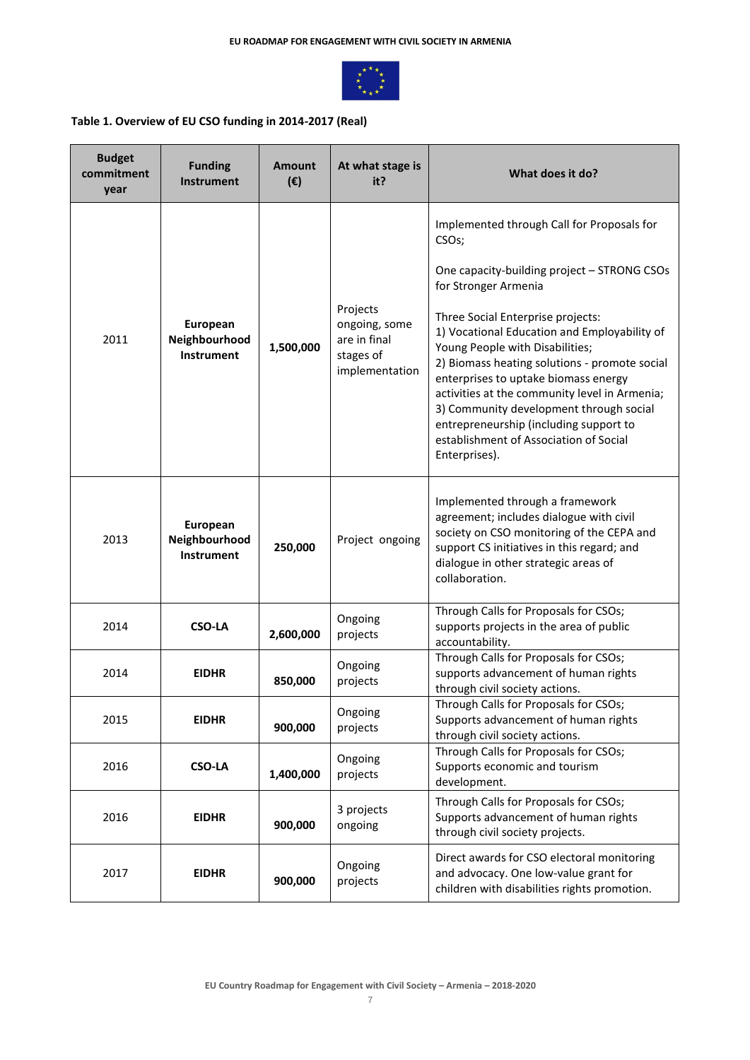

# **Table 1. Overview of EU CSO funding in 2014-2017 (Real)**

| <b>Budget</b><br>commitment<br>year | <b>Funding</b><br><b>Instrument</b>            | <b>Amount</b><br>$(\epsilon)$ | At what stage is<br>it?                                                  | What does it do?                                                                                                                                                                                                                                                                                                                                                                                               |
|-------------------------------------|------------------------------------------------|-------------------------------|--------------------------------------------------------------------------|----------------------------------------------------------------------------------------------------------------------------------------------------------------------------------------------------------------------------------------------------------------------------------------------------------------------------------------------------------------------------------------------------------------|
|                                     |                                                |                               |                                                                          | Implemented through Call for Proposals for<br>CSO <sub>s</sub> ;                                                                                                                                                                                                                                                                                                                                               |
|                                     |                                                |                               |                                                                          | One capacity-building project - STRONG CSOs<br>for Stronger Armenia                                                                                                                                                                                                                                                                                                                                            |
| 2011                                | European<br>Neighbourhood<br><b>Instrument</b> | 1,500,000                     | Projects<br>ongoing, some<br>are in final<br>stages of<br>implementation | Three Social Enterprise projects:<br>1) Vocational Education and Employability of<br>Young People with Disabilities;<br>2) Biomass heating solutions - promote social<br>enterprises to uptake biomass energy<br>activities at the community level in Armenia;<br>3) Community development through social<br>entrepreneurship (including support to<br>establishment of Association of Social<br>Enterprises). |
| 2013                                | European<br>Neighbourhood<br><b>Instrument</b> | 250,000                       | Project ongoing                                                          | Implemented through a framework<br>agreement; includes dialogue with civil<br>society on CSO monitoring of the CEPA and<br>support CS initiatives in this regard; and<br>dialogue in other strategic areas of<br>collaboration.                                                                                                                                                                                |
| 2014                                | <b>CSO-LA</b>                                  | 2,600,000                     | Ongoing<br>projects                                                      | Through Calls for Proposals for CSOs;<br>supports projects in the area of public<br>accountability.                                                                                                                                                                                                                                                                                                            |
| 2014                                | <b>EIDHR</b>                                   | 850,000                       | Ongoing<br>projects                                                      | Through Calls for Proposals for CSOs;<br>supports advancement of human rights<br>through civil society actions.                                                                                                                                                                                                                                                                                                |
| 2015                                | <b>EIDHR</b>                                   | 900,000                       | Ongoing<br>projects                                                      | Through Calls for Proposals for CSOs;<br>Supports advancement of human rights<br>through civil society actions.                                                                                                                                                                                                                                                                                                |
| 2016                                | <b>CSO-LA</b>                                  | 1,400,000                     | Ongoing<br>projects                                                      | Through Calls for Proposals for CSOs;<br>Supports economic and tourism<br>development.                                                                                                                                                                                                                                                                                                                         |
| 2016                                | <b>EIDHR</b>                                   | 900,000                       | 3 projects<br>ongoing                                                    | Through Calls for Proposals for CSOs;<br>Supports advancement of human rights<br>through civil society projects.                                                                                                                                                                                                                                                                                               |
| 2017                                | <b>EIDHR</b>                                   | 900,000                       | Ongoing<br>projects                                                      | Direct awards for CSO electoral monitoring<br>and advocacy. One low-value grant for<br>children with disabilities rights promotion.                                                                                                                                                                                                                                                                            |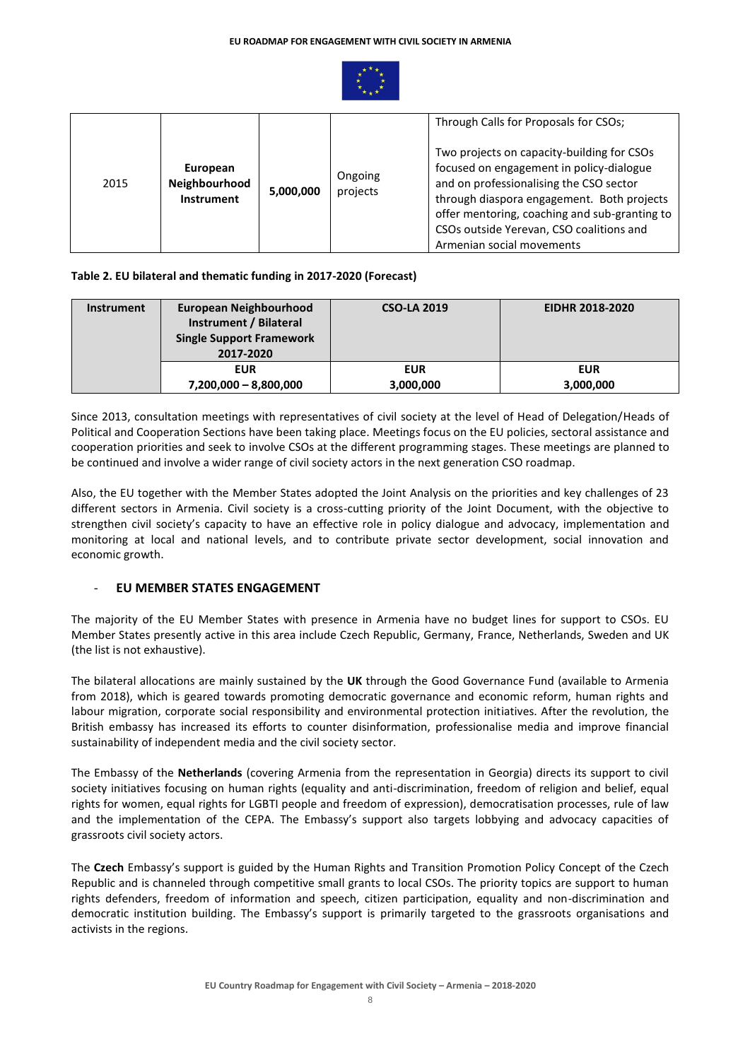

| 2015 | European<br>Neighbourhood<br><b>Instrument</b> | 5,000,000 | Ongoing<br>projects | Through Calls for Proposals for CSOs;<br>Two projects on capacity-building for CSOs<br>focused on engagement in policy-dialogue<br>and on professionalising the CSO sector<br>through diaspora engagement. Both projects<br>offer mentoring, coaching and sub-granting to |
|------|------------------------------------------------|-----------|---------------------|---------------------------------------------------------------------------------------------------------------------------------------------------------------------------------------------------------------------------------------------------------------------------|
|      |                                                |           |                     | CSOs outside Yerevan, CSO coalitions and<br>Armenian social movements                                                                                                                                                                                                     |

## **Table 2. EU bilateral and thematic funding in 2017-2020 (Forecast)**

| <b>Instrument</b> | European Neighbourhood<br>Instrument / Bilateral<br><b>Single Support Framework</b><br>2017-2020 | <b>CSO-LA 2019</b> | <b>EIDHR 2018-2020</b> |
|-------------------|--------------------------------------------------------------------------------------------------|--------------------|------------------------|
|                   | <b>EUR</b>                                                                                       | <b>EUR</b>         | <b>EUR</b>             |
|                   | $7,200,000 - 8,800,000$                                                                          | 3,000,000          | 3,000,000              |

Since 2013, consultation meetings with representatives of civil society at the level of Head of Delegation/Heads of Political and Cooperation Sections have been taking place. Meetings focus on the EU policies, sectoral assistance and cooperation priorities and seek to involve CSOs at the different programming stages. These meetings are planned to be continued and involve a wider range of civil society actors in the next generation CSO roadmap.

Also, the EU together with the Member States adopted the Joint Analysis on the priorities and key challenges of 23 different sectors in Armenia. Civil society is a cross-cutting priority of the Joint Document, with the objective to strengthen civil society's capacity to have an effective role in policy dialogue and advocacy, implementation and monitoring at local and national levels, and to contribute private sector development, social innovation and economic growth.

# **EU MEMBER STATES ENGAGEMENT**

The majority of the EU Member States with presence in Armenia have no budget lines for support to CSOs. EU Member States presently active in this area include Czech Republic, Germany, France, Netherlands, Sweden and UK (the list is not exhaustive).

The bilateral allocations are mainly sustained by the **UK** through the Good Governance Fund (available to Armenia from 2018), which is geared towards promoting democratic governance and economic reform, human rights and labour migration, corporate social responsibility and environmental protection initiatives. After the revolution, the British embassy has increased its efforts to counter disinformation, professionalise media and improve financial sustainability of independent media and the civil society sector.

The Embassy of the **Netherlands** (covering Armenia from the representation in Georgia) directs its support to civil society initiatives focusing on human rights (equality and anti-discrimination, freedom of religion and belief, equal rights for women, equal rights for LGBTI people and freedom of expression), democratisation processes, rule of law and the implementation of the CEPA. The Embassy's support also targets lobbying and advocacy capacities of grassroots civil society actors.

The **Czech** Embassy's support is guided by the Human Rights and Transition Promotion Policy Concept of the Czech Republic and is channeled through competitive small grants to local CSOs. The priority topics are support to human rights defenders, freedom of information and speech, citizen participation, equality and non-discrimination and democratic institution building. The Embassy's support is primarily targeted to the grassroots organisations and activists in the regions.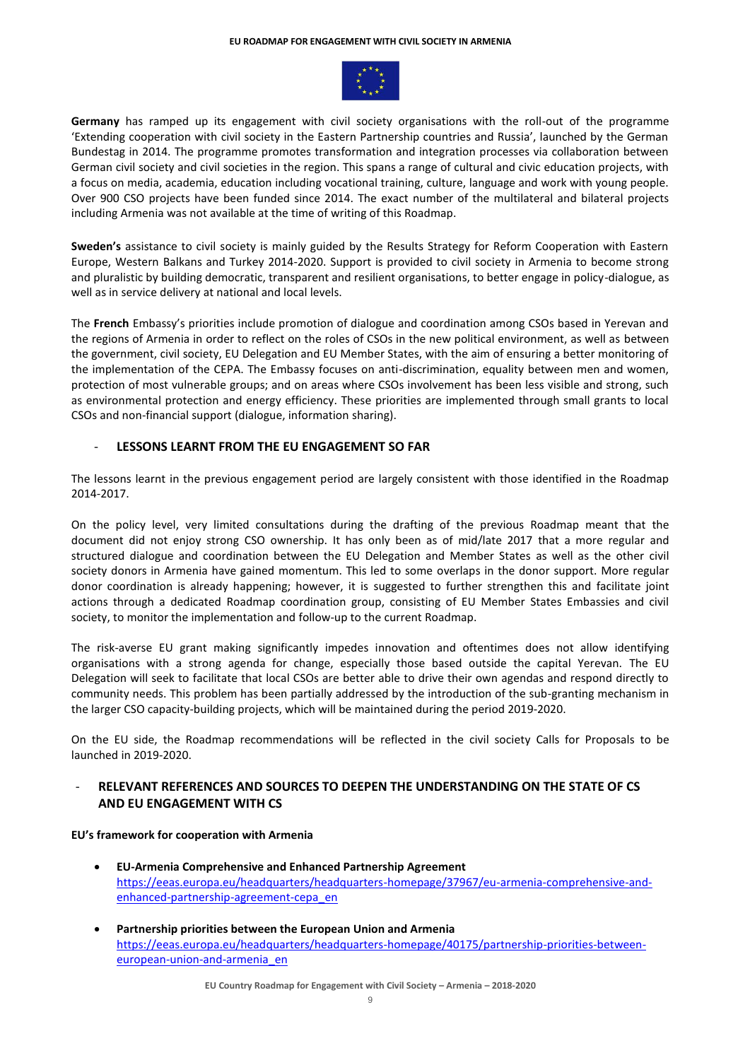#### **EU ROADMAP FOR ENGAGEMENT WITH CIVIL SOCIETY IN ARMENIA**



**Germany** has ramped up its engagement with civil society organisations with the roll-out of the programme 'Extending cooperation with civil society in the Eastern Partnership countries and Russia', launched by the German Bundestag in 2014. The programme promotes transformation and integration processes via collaboration between German civil society and civil societies in the region. This spans a range of cultural and civic education projects, with a focus on media, academia, education including vocational training, culture, language and work with young people. Over 900 CSO projects have been funded since 2014. The exact number of the multilateral and bilateral projects including Armenia was not available at the time of writing of this Roadmap.

**Sweden's** assistance to civil society is mainly guided by the Results Strategy for Reform Cooperation with Eastern Europe, Western Balkans and Turkey 2014-2020. Support is provided to civil society in Armenia to become strong and pluralistic by building democratic, transparent and resilient organisations, to better engage in policy-dialogue, as well as in service delivery at national and local levels.

The **French** Embassy's priorities include promotion of dialogue and coordination among CSOs based in Yerevan and the regions of Armenia in order to reflect on the roles of CSOs in the new political environment, as well as between the government, civil society, EU Delegation and EU Member States, with the aim of ensuring a better monitoring of the implementation of the CEPA. The Embassy focuses on anti-discrimination, equality between men and women, protection of most vulnerable groups; and on areas where CSOs involvement has been less visible and strong, such as environmental protection and energy efficiency. These priorities are implemented through small grants to local CSOs and non-financial support (dialogue, information sharing).

## LESSONS LEARNT FROM THE EU ENGAGEMENT SO FAR

The lessons learnt in the previous engagement period are largely consistent with those identified in the Roadmap 2014-2017.

On the policy level, very limited consultations during the drafting of the previous Roadmap meant that the document did not enjoy strong CSO ownership. It has only been as of mid/late 2017 that a more regular and structured dialogue and coordination between the EU Delegation and Member States as well as the other civil society donors in Armenia have gained momentum. This led to some overlaps in the donor support. More regular donor coordination is already happening; however, it is suggested to further strengthen this and facilitate joint actions through a dedicated Roadmap coordination group, consisting of EU Member States Embassies and civil society, to monitor the implementation and follow-up to the current Roadmap.

The risk-averse EU grant making significantly impedes innovation and oftentimes does not allow identifying organisations with a strong agenda for change, especially those based outside the capital Yerevan. The EU Delegation will seek to facilitate that local CSOs are better able to drive their own agendas and respond directly to community needs. This problem has been partially addressed by the introduction of the sub-granting mechanism in the larger CSO capacity-building projects, which will be maintained during the period 2019-2020.

On the EU side, the Roadmap recommendations will be reflected in the civil society Calls for Proposals to be launched in 2019-2020.

# RELEVANT REFERENCES AND SOURCES TO DEEPEN THE UNDERSTANDING ON THE STATE OF CS **AND EU ENGAGEMENT WITH CS**

## **EU's framework for cooperation with Armenia**

- **EU-Armenia Comprehensive and Enhanced Partnership Agreement** [https://eeas.europa.eu/headquarters/headquarters-homepage/37967/eu-armenia-comprehensive-and](https://eeas.europa.eu/headquarters/headquarters-homepage/37967/eu-armenia-comprehensive-and-enhanced-partnership-agreement-cepa_en)[enhanced-partnership-agreement-cepa\\_en](https://eeas.europa.eu/headquarters/headquarters-homepage/37967/eu-armenia-comprehensive-and-enhanced-partnership-agreement-cepa_en)
- **Partnership priorities between the European Union and Armenia** [https://eeas.europa.eu/headquarters/headquarters-homepage/40175/partnership-priorities-between](https://eeas.europa.eu/headquarters/headquarters-homepage/40175/partnership-priorities-between-european-union-and-armenia_en)[european-union-and-armenia\\_en](https://eeas.europa.eu/headquarters/headquarters-homepage/40175/partnership-priorities-between-european-union-and-armenia_en)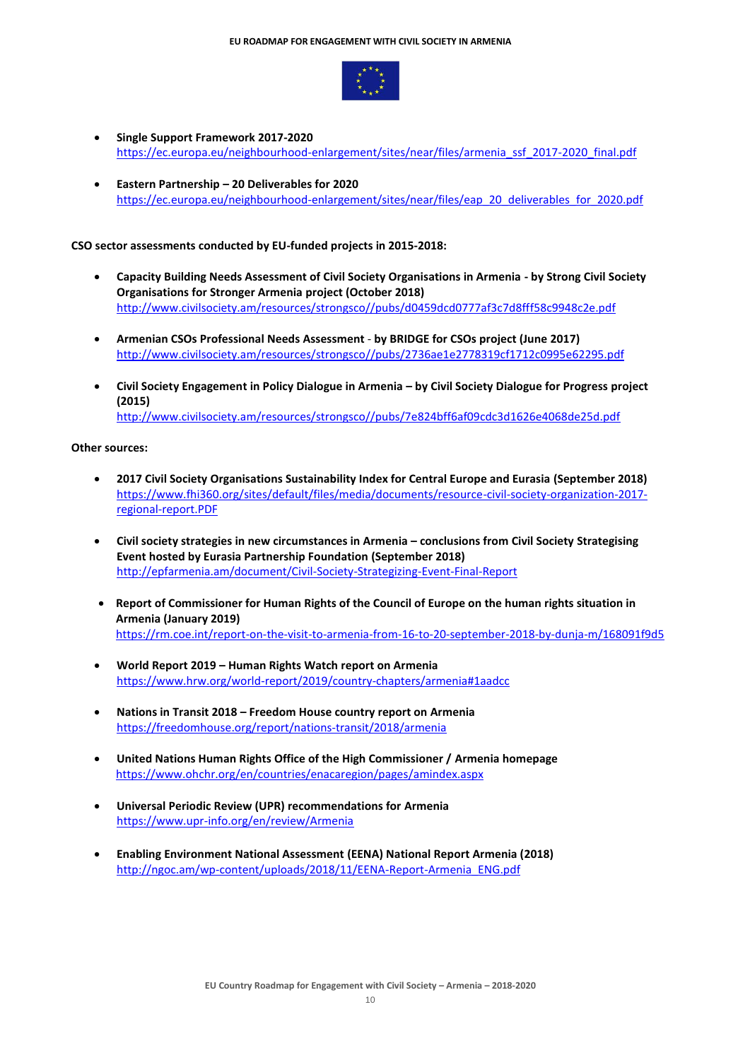

- **Single Support Framework 2017-2020**  [https://ec.europa.eu/neighbourhood-enlargement/sites/near/files/armenia\\_ssf\\_2017-2020\\_final.pdf](https://ec.europa.eu/neighbourhood-enlargement/sites/near/files/armenia_ssf_2017-2020_final.pdf)
- **Eastern Partnership – 20 Deliverables for 2020**  [https://ec.europa.eu/neighbourhood-enlargement/sites/near/files/eap\\_20\\_deliverables\\_for\\_2020.pdf](https://ec.europa.eu/neighbourhood-enlargement/sites/near/files/eap_20_deliverables_for_2020.pdf)

#### **CSO sector assessments conducted by EU-funded projects in 2015-2018:**

- **Capacity Building Needs Assessment of Civil Society Organisations in Armenia - by Strong Civil Society Organisations for Stronger Armenia project (October 2018)**  [http://www.civilsociety.am/resources/strongsco//pubs/d0459dcd0777af3c7d8fff58c9948c2e.pdf](http://www.civilsociety.am/resources/strongsco/pubs/d0459dcd0777af3c7d8fff58c9948c2e.pdf)
- **Armenian CSOs Professional Needs Assessment by BRIDGE for CSOs project (June 2017)**  [http://www.civilsociety.am/resources/strongsco//pubs/2736ae1e2778319cf1712c0995e62295.pdf](http://www.civilsociety.am/resources/strongsco/pubs/2736ae1e2778319cf1712c0995e62295.pdf)
- **Civil Society Engagement in Policy Dialogue in Armenia – by Civil Society Dialogue for Progress project (2015)** [http://www.civilsociety.am/resources/strongsco//pubs/7e824bff6af09cdc3d1626e4068de25d.pdf](http://www.civilsociety.am/resources/strongsco/pubs/7e824bff6af09cdc3d1626e4068de25d.pdf)

#### **Other sources:**

- **2017 Civil Society Organisations Sustainability Index for Central Europe and Eurasia (September 2018)**  [https://www.fhi360.org/sites/default/files/media/documents/resource-civil-society-organization-2017](https://www.fhi360.org/sites/default/files/media/documents/resource-civil-society-organization-2017-regional-report.PDF) [regional-report.PDF](https://www.fhi360.org/sites/default/files/media/documents/resource-civil-society-organization-2017-regional-report.PDF)
- **Civil society strategies in new circumstances in Armenia – conclusions from Civil Society Strategising Event hosted by Eurasia Partnership Foundation (September 2018)**  <http://epfarmenia.am/document/Civil-Society-Strategizing-Event-Final-Report>
- **Report of Commissioner for Human Rights of the Council of Europe on the human rights situation in Armenia (January 2019)**  <https://rm.coe.int/report-on-the-visit-to-armenia-from-16-to-20-september-2018-by-dunja-m/168091f9d5>
- **World Report 2019 – Human Rights Watch report on Armenia**  <https://www.hrw.org/world-report/2019/country-chapters/armenia#1aadcc>
- **Nations in Transit 2018 – Freedom House country report on Armenia**  <https://freedomhouse.org/report/nations-transit/2018/armenia>
- **United Nations Human Rights Office of the High Commissioner / Armenia homepage** <https://www.ohchr.org/en/countries/enacaregion/pages/amindex.aspx>
- **Universal Periodic Review (UPR) recommendations for Armenia** <https://www.upr-info.org/en/review/Armenia>
- **Enabling Environment National Assessment (EENA) National Report Armenia (2018)** http://ngoc.am/wp-content/uploads/2018/11/EENA-Report-Armenia\_ENG.pdf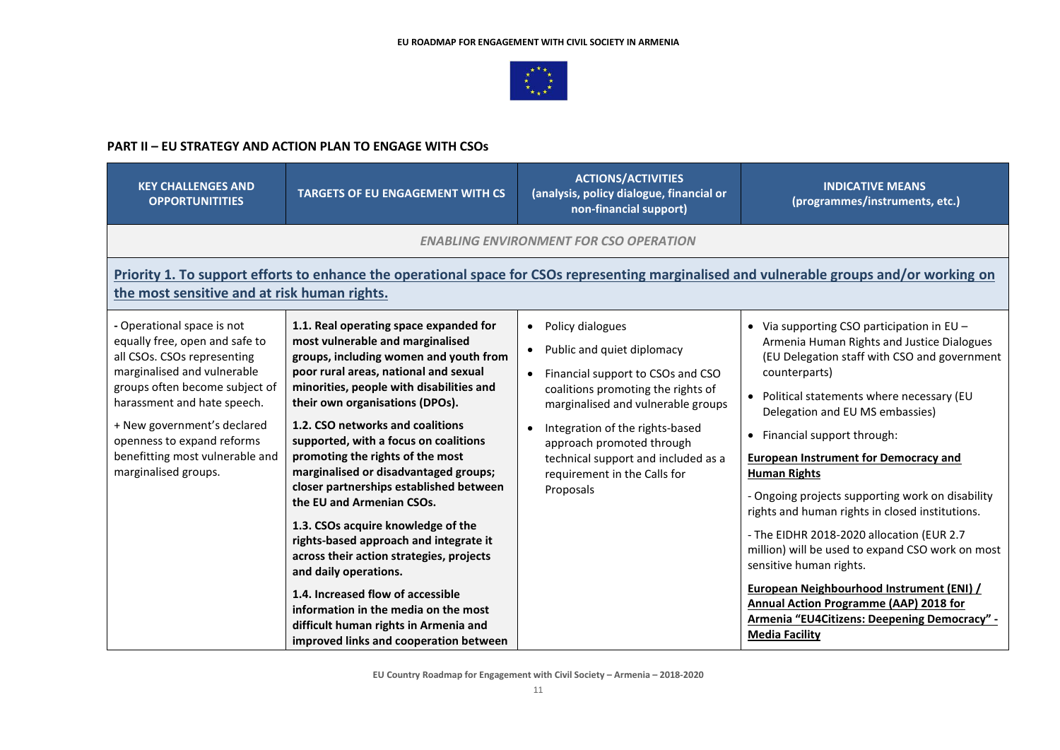

## **PART II – EU STRATEGY AND ACTION PLAN TO ENGAGE WITH CSOs**

| <b>KEY CHALLENGES AND</b><br><b>OPPORTUNITITIES</b>                                                                                                                                                                                                                                                                 | <b>TARGETS OF EU ENGAGEMENT WITH CS</b>                                                                                                                                                                                                                                                                                                                                                                                                                                                                                                                                                                                                                                                                                                                                                             | <b>ACTIONS/ACTIVITIES</b><br>(analysis, policy dialogue, financial or<br>non-financial support)                                                                                                                                                                                                                                  | <b>INDICATIVE MEANS</b><br>(programmes/instruments, etc.)                                                                                                                                                                                                                                                                                                                                                                                                                                                                                                                                                                                                                                                                                                                                         |  |  |  |
|---------------------------------------------------------------------------------------------------------------------------------------------------------------------------------------------------------------------------------------------------------------------------------------------------------------------|-----------------------------------------------------------------------------------------------------------------------------------------------------------------------------------------------------------------------------------------------------------------------------------------------------------------------------------------------------------------------------------------------------------------------------------------------------------------------------------------------------------------------------------------------------------------------------------------------------------------------------------------------------------------------------------------------------------------------------------------------------------------------------------------------------|----------------------------------------------------------------------------------------------------------------------------------------------------------------------------------------------------------------------------------------------------------------------------------------------------------------------------------|---------------------------------------------------------------------------------------------------------------------------------------------------------------------------------------------------------------------------------------------------------------------------------------------------------------------------------------------------------------------------------------------------------------------------------------------------------------------------------------------------------------------------------------------------------------------------------------------------------------------------------------------------------------------------------------------------------------------------------------------------------------------------------------------------|--|--|--|
|                                                                                                                                                                                                                                                                                                                     |                                                                                                                                                                                                                                                                                                                                                                                                                                                                                                                                                                                                                                                                                                                                                                                                     | <b>ENABLING ENVIRONMENT FOR CSO OPERATION</b>                                                                                                                                                                                                                                                                                    |                                                                                                                                                                                                                                                                                                                                                                                                                                                                                                                                                                                                                                                                                                                                                                                                   |  |  |  |
| Priority 1. To support efforts to enhance the operational space for CSOs representing marginalised and vulnerable groups and/or working on<br>the most sensitive and at risk human rights.                                                                                                                          |                                                                                                                                                                                                                                                                                                                                                                                                                                                                                                                                                                                                                                                                                                                                                                                                     |                                                                                                                                                                                                                                                                                                                                  |                                                                                                                                                                                                                                                                                                                                                                                                                                                                                                                                                                                                                                                                                                                                                                                                   |  |  |  |
| - Operational space is not<br>equally free, open and safe to<br>all CSOs. CSOs representing<br>marginalised and vulnerable<br>groups often become subject of<br>harassment and hate speech.<br>+ New government's declared<br>openness to expand reforms<br>benefitting most vulnerable and<br>marginalised groups. | 1.1. Real operating space expanded for<br>most vulnerable and marginalised<br>groups, including women and youth from<br>poor rural areas, national and sexual<br>minorities, people with disabilities and<br>their own organisations (DPOs).<br>1.2. CSO networks and coalitions<br>supported, with a focus on coalitions<br>promoting the rights of the most<br>marginalised or disadvantaged groups;<br>closer partnerships established between<br>the EU and Armenian CSOs.<br>1.3. CSOs acquire knowledge of the<br>rights-based approach and integrate it<br>across their action strategies, projects<br>and daily operations.<br>1.4. Increased flow of accessible<br>information in the media on the most<br>difficult human rights in Armenia and<br>improved links and cooperation between | Policy dialogues<br>$\bullet$<br>Public and quiet diplomacy<br>Financial support to CSOs and CSO<br>coalitions promoting the rights of<br>marginalised and vulnerable groups<br>Integration of the rights-based<br>approach promoted through<br>technical support and included as a<br>requirement in the Calls for<br>Proposals | • Via supporting CSO participation in $EU -$<br>Armenia Human Rights and Justice Dialogues<br>(EU Delegation staff with CSO and government<br>counterparts)<br>Political statements where necessary (EU<br>$\bullet$<br>Delegation and EU MS embassies)<br>Financial support through:<br>$\bullet$<br><b>European Instrument for Democracy and</b><br><b>Human Rights</b><br>- Ongoing projects supporting work on disability<br>rights and human rights in closed institutions.<br>- The EIDHR 2018-2020 allocation (EUR 2.7<br>million) will be used to expand CSO work on most<br>sensitive human rights.<br><b>European Neighbourhood Instrument (ENI) /</b><br><b>Annual Action Programme (AAP) 2018 for</b><br><b>Armenia "EU4Citizens: Deepening Democracy" -</b><br><b>Media Facility</b> |  |  |  |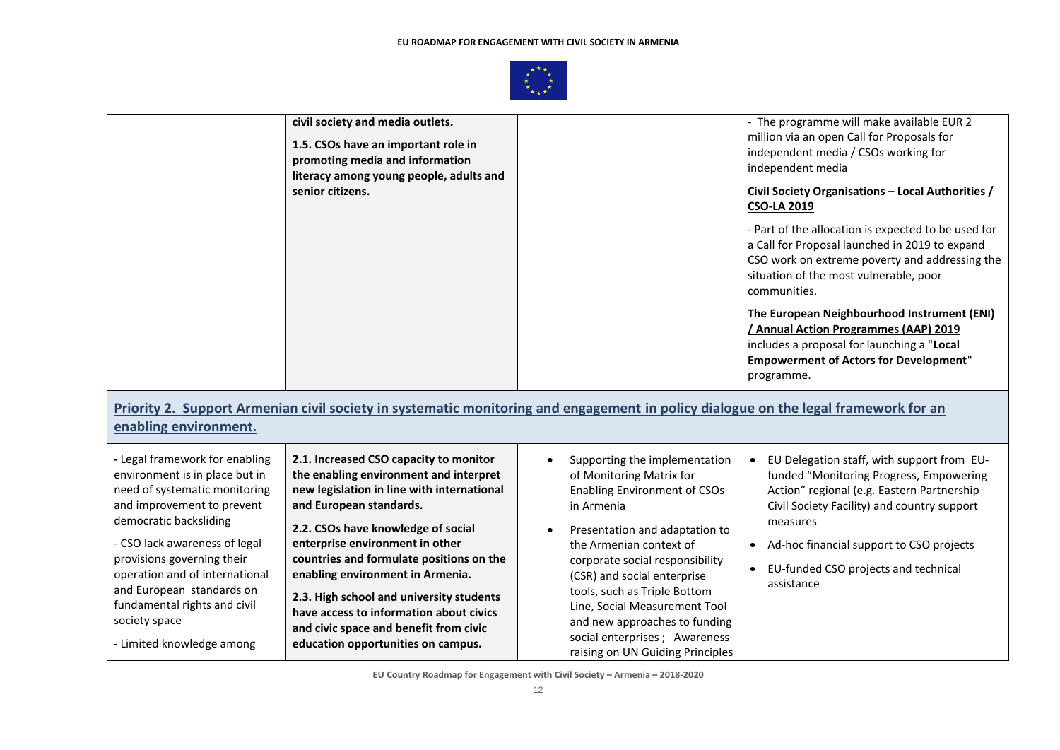

|                                                                                                                                                                                                                                                                                                                                                                       | civil society and media outlets.<br>1.5. CSOs have an important role in<br>promoting media and information<br>literacy among young people, adults and<br>senior citizens.                                                                                                                                                                                                                                                                                                                 |                                                                                                                                                                                                                                                                                                                                                                                                                       | - The programme will make available EUR 2<br>million via an open Call for Proposals for<br>independent media / CSOs working for<br>independent media<br>Civil Society Organisations - Local Authorities /<br><b>CSO-LA 2019</b><br>- Part of the allocation is expected to be used for<br>a Call for Proposal launched in 2019 to expand<br>CSO work on extreme poverty and addressing the<br>situation of the most vulnerable, poor<br>communities.<br>The European Neighbourhood Instrument (ENI)<br>/ Annual Action Programmes (AAP) 2019<br>includes a proposal for launching a "Local<br><b>Empowerment of Actors for Development"</b><br>programme. |
|-----------------------------------------------------------------------------------------------------------------------------------------------------------------------------------------------------------------------------------------------------------------------------------------------------------------------------------------------------------------------|-------------------------------------------------------------------------------------------------------------------------------------------------------------------------------------------------------------------------------------------------------------------------------------------------------------------------------------------------------------------------------------------------------------------------------------------------------------------------------------------|-----------------------------------------------------------------------------------------------------------------------------------------------------------------------------------------------------------------------------------------------------------------------------------------------------------------------------------------------------------------------------------------------------------------------|-----------------------------------------------------------------------------------------------------------------------------------------------------------------------------------------------------------------------------------------------------------------------------------------------------------------------------------------------------------------------------------------------------------------------------------------------------------------------------------------------------------------------------------------------------------------------------------------------------------------------------------------------------------|
| enabling environment.                                                                                                                                                                                                                                                                                                                                                 | Priority 2. Support Armenian civil society in systematic monitoring and engagement in policy dialogue on the legal framework for an                                                                                                                                                                                                                                                                                                                                                       |                                                                                                                                                                                                                                                                                                                                                                                                                       |                                                                                                                                                                                                                                                                                                                                                                                                                                                                                                                                                                                                                                                           |
| - Legal framework for enabling<br>environment is in place but in<br>need of systematic monitoring<br>and improvement to prevent<br>democratic backsliding<br>- CSO lack awareness of legal<br>provisions governing their<br>operation and of international<br>and European standards on<br>fundamental rights and civil<br>society space<br>- Limited knowledge among | 2.1. Increased CSO capacity to monitor<br>the enabling environment and interpret<br>new legislation in line with international<br>and European standards.<br>2.2. CSOs have knowledge of social<br>enterprise environment in other<br>countries and formulate positions on the<br>enabling environment in Armenia.<br>2.3. High school and university students<br>have access to information about civics<br>and civic space and benefit from civic<br>education opportunities on campus. | Supporting the implementation<br>of Monitoring Matrix for<br><b>Enabling Environment of CSOs</b><br>in Armenia<br>Presentation and adaptation to<br>the Armenian context of<br>corporate social responsibility<br>(CSR) and social enterprise<br>tools, such as Triple Bottom<br>Line, Social Measurement Tool<br>and new approaches to funding<br>social enterprises ; Awareness<br>raising on UN Guiding Principles | EU Delegation staff, with support from EU-<br>funded "Monitoring Progress, Empowering<br>Action" regional (e.g. Eastern Partnership<br>Civil Society Facility) and country support<br>measures<br>Ad-hoc financial support to CSO projects<br>$\bullet$<br>EU-funded CSO projects and technical<br>$\bullet$<br>assistance                                                                                                                                                                                                                                                                                                                                |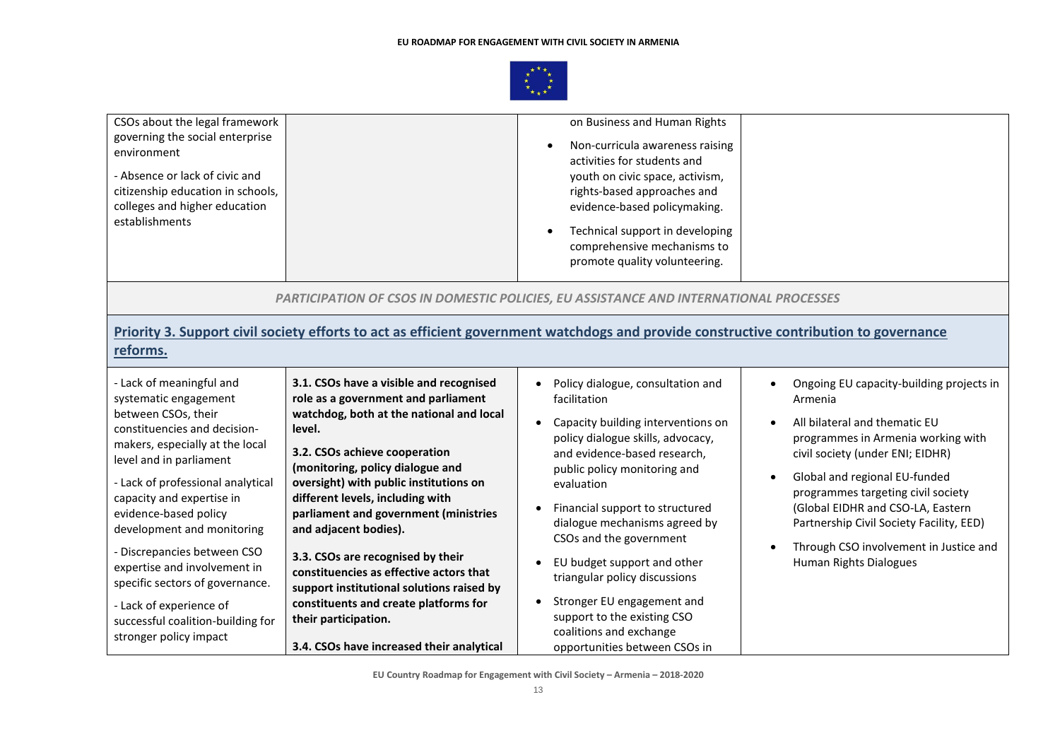

| CSOs about the legal framework<br>governing the social enterprise<br>environment<br>- Absence or lack of civic and<br>citizenship education in schools,<br>colleges and higher education<br>establishments                                                                                                                                                                                                                                                                                  |                                                                                                                                                                                                                                                                                                                                                                                                                                                                                                                                                         | on Business and Human Rights<br>Non-curricula awareness raising<br>activities for students and<br>youth on civic space, activism,<br>rights-based approaches and<br>evidence-based policymaking.<br>Technical support in developing<br>comprehensive mechanisms to<br>promote quality volunteering.                                                                                                                                                               |                                                                                                                                                                                                                                                                                                                                                                                                         |
|---------------------------------------------------------------------------------------------------------------------------------------------------------------------------------------------------------------------------------------------------------------------------------------------------------------------------------------------------------------------------------------------------------------------------------------------------------------------------------------------|---------------------------------------------------------------------------------------------------------------------------------------------------------------------------------------------------------------------------------------------------------------------------------------------------------------------------------------------------------------------------------------------------------------------------------------------------------------------------------------------------------------------------------------------------------|-------------------------------------------------------------------------------------------------------------------------------------------------------------------------------------------------------------------------------------------------------------------------------------------------------------------------------------------------------------------------------------------------------------------------------------------------------------------|---------------------------------------------------------------------------------------------------------------------------------------------------------------------------------------------------------------------------------------------------------------------------------------------------------------------------------------------------------------------------------------------------------|
|                                                                                                                                                                                                                                                                                                                                                                                                                                                                                             | PARTICIPATION OF CSOS IN DOMESTIC POLICIES, EU ASSISTANCE AND INTERNATIONAL PROCESSES                                                                                                                                                                                                                                                                                                                                                                                                                                                                   |                                                                                                                                                                                                                                                                                                                                                                                                                                                                   |                                                                                                                                                                                                                                                                                                                                                                                                         |
| reforms.                                                                                                                                                                                                                                                                                                                                                                                                                                                                                    | Priority 3. Support civil society efforts to act as efficient government watchdogs and provide constructive contribution to governance                                                                                                                                                                                                                                                                                                                                                                                                                  |                                                                                                                                                                                                                                                                                                                                                                                                                                                                   |                                                                                                                                                                                                                                                                                                                                                                                                         |
| - Lack of meaningful and<br>systematic engagement<br>between CSOs, their<br>constituencies and decision-<br>makers, especially at the local<br>level and in parliament<br>- Lack of professional analytical<br>capacity and expertise in<br>evidence-based policy<br>development and monitoring<br>- Discrepancies between CSO<br>expertise and involvement in<br>specific sectors of governance.<br>- Lack of experience of<br>successful coalition-building for<br>stronger policy impact | 3.1. CSOs have a visible and recognised<br>role as a government and parliament<br>watchdog, both at the national and local<br>level.<br>3.2. CSOs achieve cooperation<br>(monitoring, policy dialogue and<br>oversight) with public institutions on<br>different levels, including with<br>parliament and government (ministries<br>and adjacent bodies).<br>3.3. CSOs are recognised by their<br>constituencies as effective actors that<br>support institutional solutions raised by<br>constituents and create platforms for<br>their participation. | Policy dialogue, consultation and<br>facilitation<br>Capacity building interventions on<br>policy dialogue skills, advocacy,<br>and evidence-based research,<br>public policy monitoring and<br>evaluation<br>Financial support to structured<br>dialogue mechanisms agreed by<br>CSOs and the government<br>EU budget support and other<br>triangular policy discussions<br>Stronger EU engagement and<br>support to the existing CSO<br>coalitions and exchange | Ongoing EU capacity-building projects in<br>$\bullet$<br>Armenia<br>All bilateral and thematic EU<br>programmes in Armenia working with<br>civil society (under ENI; EIDHR)<br>Global and regional EU-funded<br>programmes targeting civil society<br>(Global EIDHR and CSO-LA, Eastern<br>Partnership Civil Society Facility, EED)<br>Through CSO involvement in Justice and<br>Human Rights Dialogues |
|                                                                                                                                                                                                                                                                                                                                                                                                                                                                                             | 3.4. CSOs have increased their analytical                                                                                                                                                                                                                                                                                                                                                                                                                                                                                                               | opportunities between CSOs in                                                                                                                                                                                                                                                                                                                                                                                                                                     |                                                                                                                                                                                                                                                                                                                                                                                                         |

**EU Country Roadmap for Engagement with Civil Society – Armenia – 2018-2020**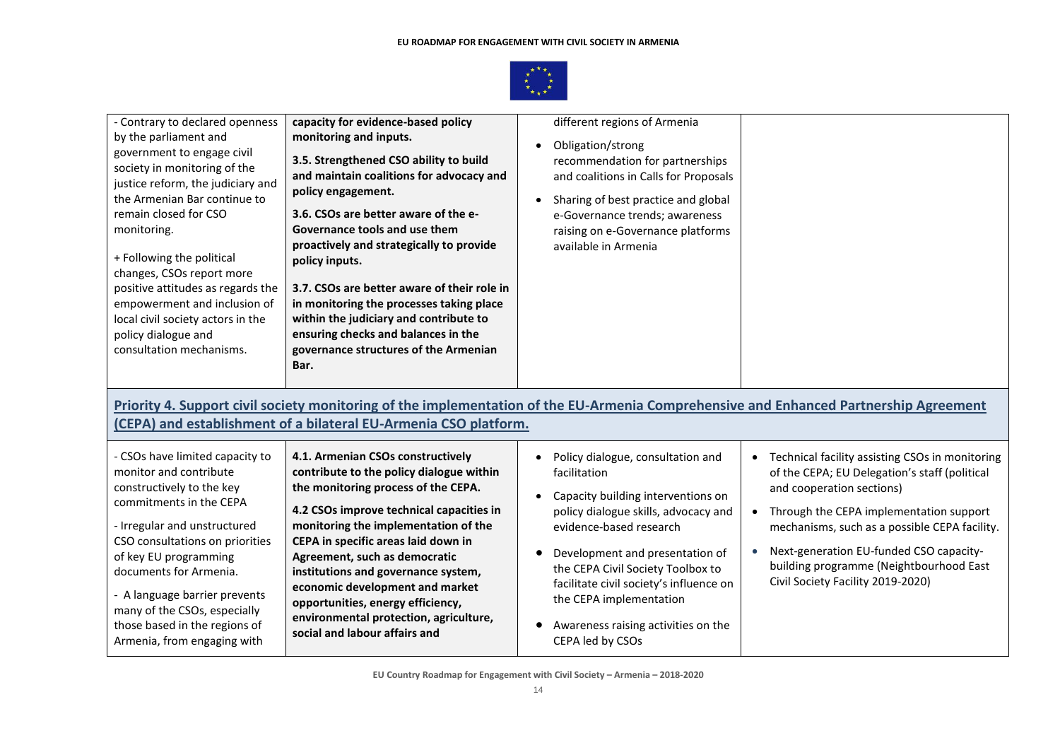

| - Contrary to declared openness<br>by the parliament and<br>government to engage civil<br>society in monitoring of the<br>justice reform, the judiciary and<br>the Armenian Bar continue to<br>remain closed for CSO<br>monitoring.<br>+ Following the political<br>changes, CSOs report more<br>positive attitudes as regards the<br>empowerment and inclusion of<br>local civil society actors in the<br>policy dialogue and<br>consultation mechanisms. | capacity for evidence-based policy<br>monitoring and inputs.<br>3.5. Strengthened CSO ability to build<br>and maintain coalitions for advocacy and<br>policy engagement.<br>3.6. CSOs are better aware of the e-<br>Governance tools and use them<br>proactively and strategically to provide<br>policy inputs.<br>3.7. CSOs are better aware of their role in<br>in monitoring the processes taking place<br>within the judiciary and contribute to<br>ensuring checks and balances in the<br>governance structures of the Armenian<br>Bar.<br>(CEPA) and establishment of a bilateral EU-Armenia CSO platform. | different regions of Armenia<br>Obligation/strong<br>recommendation for partnerships<br>and coalitions in Calls for Proposals<br>Sharing of best practice and global<br>e-Governance trends; awareness<br>raising on e-Governance platforms<br>available in Armenia                                                                                                 | Priority 4. Support civil society monitoring of the implementation of the EU-Armenia Comprehensive and Enhanced Partnership Agreement                                                                                                                                                                                                                |
|------------------------------------------------------------------------------------------------------------------------------------------------------------------------------------------------------------------------------------------------------------------------------------------------------------------------------------------------------------------------------------------------------------------------------------------------------------|------------------------------------------------------------------------------------------------------------------------------------------------------------------------------------------------------------------------------------------------------------------------------------------------------------------------------------------------------------------------------------------------------------------------------------------------------------------------------------------------------------------------------------------------------------------------------------------------------------------|---------------------------------------------------------------------------------------------------------------------------------------------------------------------------------------------------------------------------------------------------------------------------------------------------------------------------------------------------------------------|------------------------------------------------------------------------------------------------------------------------------------------------------------------------------------------------------------------------------------------------------------------------------------------------------------------------------------------------------|
| - CSOs have limited capacity to<br>monitor and contribute<br>constructively to the key<br>commitments in the CEPA<br>- Irregular and unstructured<br>CSO consultations on priorities<br>of key EU programming<br>documents for Armenia.<br>- A language barrier prevents<br>many of the CSOs, especially<br>those based in the regions of<br>Armenia, from engaging with                                                                                   | 4.1. Armenian CSOs constructively<br>contribute to the policy dialogue within<br>the monitoring process of the CEPA.<br>4.2 CSOs improve technical capacities in<br>monitoring the implementation of the<br>CEPA in specific areas laid down in<br>Agreement, such as democratic<br>institutions and governance system,<br>economic development and market<br>opportunities, energy efficiency,<br>environmental protection, agriculture,<br>social and labour affairs and                                                                                                                                       | Policy dialogue, consultation and<br>facilitation<br>Capacity building interventions on<br>policy dialogue skills, advocacy and<br>evidence-based research<br>Development and presentation of<br>the CEPA Civil Society Toolbox to<br>facilitate civil society's influence on<br>the CEPA implementation<br>Awareness raising activities on the<br>CEPA led by CSOs | Technical facility assisting CSOs in monitoring<br>of the CEPA; EU Delegation's staff (political<br>and cooperation sections)<br>Through the CEPA implementation support<br>mechanisms, such as a possible CEPA facility.<br>Next-generation EU-funded CSO capacity-<br>building programme (Neightbourhood East<br>Civil Society Facility 2019-2020) |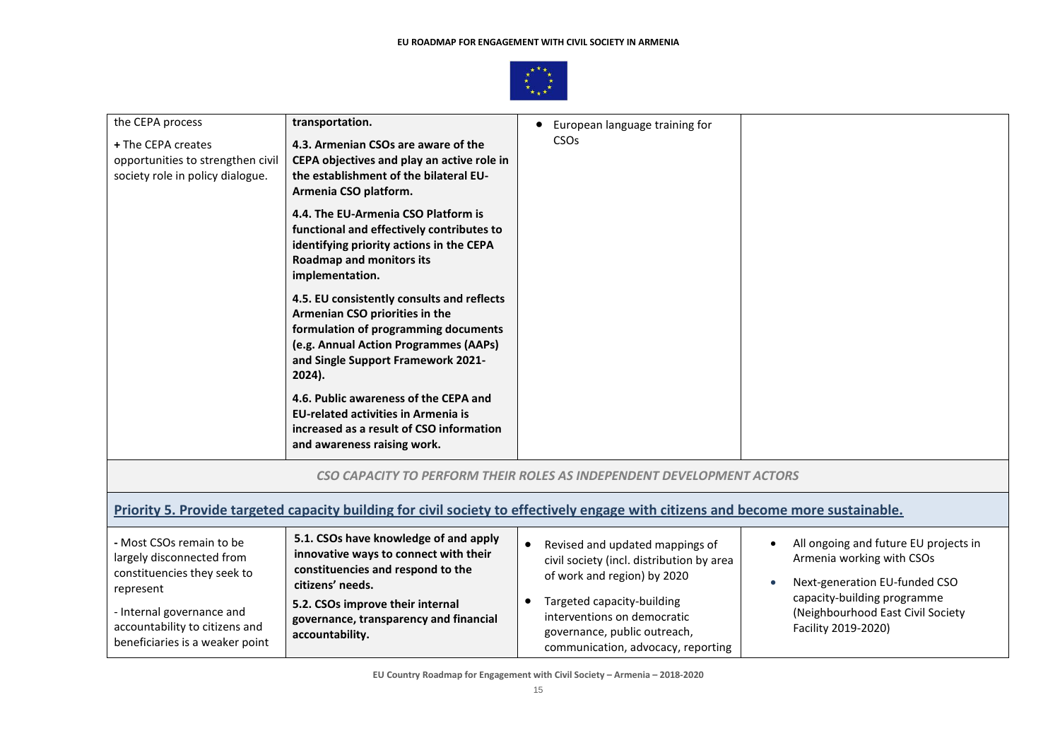

| the CEPA process                  | transportation.                                                                                                                   | European language training for<br>CSOs                                |                                                                  |
|-----------------------------------|-----------------------------------------------------------------------------------------------------------------------------------|-----------------------------------------------------------------------|------------------------------------------------------------------|
| + The CEPA creates                | 4.3. Armenian CSOs are aware of the                                                                                               |                                                                       |                                                                  |
| opportunities to strengthen civil | CEPA objectives and play an active role in                                                                                        |                                                                       |                                                                  |
| society role in policy dialogue.  | the establishment of the bilateral EU-                                                                                            |                                                                       |                                                                  |
|                                   | Armenia CSO platform.                                                                                                             |                                                                       |                                                                  |
|                                   | 4.4. The EU-Armenia CSO Platform is                                                                                               |                                                                       |                                                                  |
|                                   | functional and effectively contributes to                                                                                         |                                                                       |                                                                  |
|                                   | identifying priority actions in the CEPA                                                                                          |                                                                       |                                                                  |
|                                   | <b>Roadmap and monitors its</b><br>implementation.                                                                                |                                                                       |                                                                  |
|                                   |                                                                                                                                   |                                                                       |                                                                  |
|                                   | 4.5. EU consistently consults and reflects                                                                                        |                                                                       |                                                                  |
|                                   | Armenian CSO priorities in the                                                                                                    |                                                                       |                                                                  |
|                                   | formulation of programming documents<br>(e.g. Annual Action Programmes (AAPs)                                                     |                                                                       |                                                                  |
|                                   | and Single Support Framework 2021-                                                                                                |                                                                       |                                                                  |
|                                   | 2024).                                                                                                                            |                                                                       |                                                                  |
|                                   |                                                                                                                                   |                                                                       |                                                                  |
|                                   | 4.6. Public awareness of the CEPA and<br><b>EU-related activities in Armenia is</b>                                               |                                                                       |                                                                  |
|                                   | increased as a result of CSO information                                                                                          |                                                                       |                                                                  |
|                                   | and awareness raising work.                                                                                                       |                                                                       |                                                                  |
|                                   |                                                                                                                                   |                                                                       |                                                                  |
|                                   |                                                                                                                                   | CSO CAPACITY TO PERFORM THEIR ROLES AS INDEPENDENT DEVELOPMENT ACTORS |                                                                  |
|                                   | Priority 5. Provide targeted capacity building for civil society to effectively engage with citizens and become more sustainable. |                                                                       |                                                                  |
|                                   |                                                                                                                                   |                                                                       |                                                                  |
| - Most CSOs remain to be          | 5.1. CSOs have knowledge of and apply                                                                                             | Revised and updated mappings of                                       | All ongoing and future EU projects in<br>$\bullet$               |
| largely disconnected from         | innovative ways to connect with their                                                                                             | civil society (incl. distribution by area                             | Armenia working with CSOs                                        |
| constituencies they seek to       | constituencies and respond to the                                                                                                 | of work and region) by 2020                                           |                                                                  |
| represent                         | citizens' needs.                                                                                                                  |                                                                       | Next-generation EU-funded CSO                                    |
| - Internal governance and         | 5.2. CSOs improve their internal                                                                                                  | Targeted capacity-building                                            | capacity-building programme<br>(Neighbourhood East Civil Society |
| accountability to citizens and    | governance, transparency and financial                                                                                            | interventions on democratic                                           | Facility 2019-2020)                                              |
| beneficiaries is a weaker point   | accountability.                                                                                                                   | governance, public outreach,                                          |                                                                  |
|                                   |                                                                                                                                   | communication, advocacy, reporting                                    |                                                                  |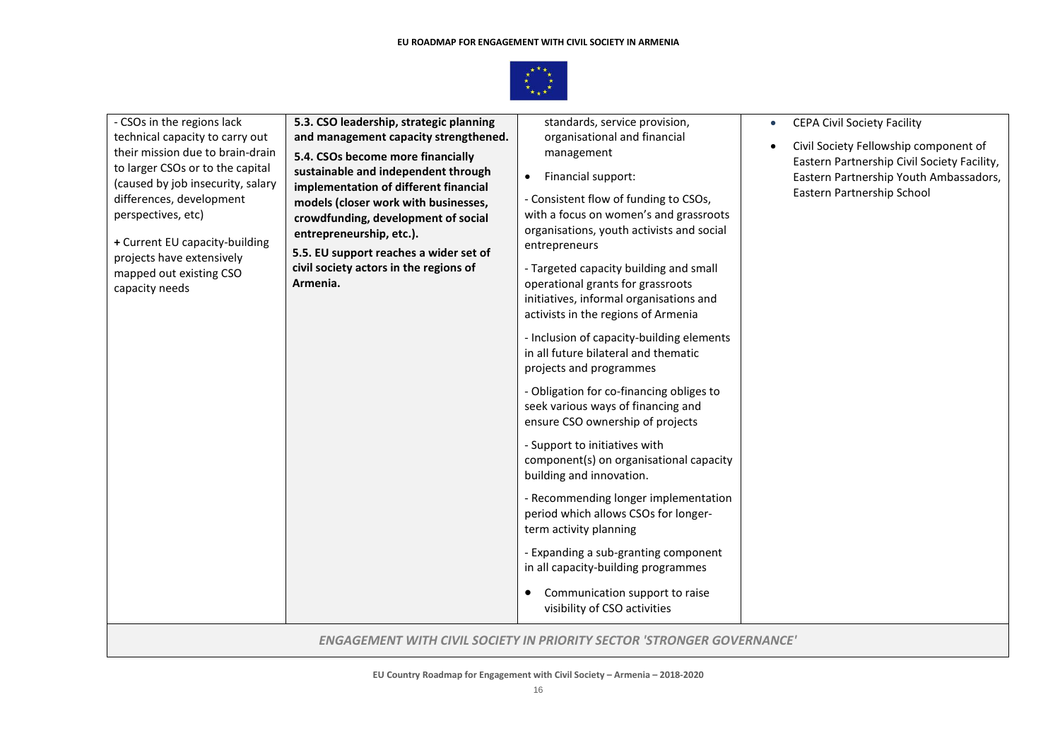

| - CSOs in the regions lack<br>technical capacity to carry out<br>their mission due to brain-drain<br>to larger CSOs or to the capital<br>(caused by job insecurity, salary<br>differences, development<br>perspectives, etc)<br>+ Current EU capacity-building<br>projects have extensively<br>mapped out existing CSO<br>capacity needs | 5.3. CSO leadership, strategic planning<br>and management capacity strengthened.<br>5.4. CSOs become more financially<br>sustainable and independent through<br>implementation of different financial<br>models (closer work with businesses,<br>crowdfunding, development of social<br>entrepreneurship, etc.).<br>5.5. EU support reaches a wider set of<br>civil society actors in the regions of<br>Armenia. | standards, service provision,<br>organisational and financial<br>management<br>Financial support:<br>$\bullet$<br>- Consistent flow of funding to CSOs,<br>with a focus on women's and grassroots<br>organisations, youth activists and social<br>entrepreneurs<br>- Targeted capacity building and small<br>operational grants for grassroots<br>initiatives, informal organisations and<br>activists in the regions of Armenia<br>- Inclusion of capacity-building elements<br>in all future bilateral and thematic<br>projects and programmes<br>- Obligation for co-financing obliges to<br>seek various ways of financing and<br>ensure CSO ownership of projects<br>- Support to initiatives with<br>component(s) on organisational capacity<br>building and innovation.<br>- Recommending longer implementation<br>period which allows CSOs for longer-<br>term activity planning<br>- Expanding a sub-granting component<br>in all capacity-building programmes<br>Communication support to raise<br>$\bullet$<br>visibility of CSO activities | <b>CEPA Civil Society Facility</b><br>$\bullet$<br>Civil Society Fellowship component of<br>Eastern Partnership Civil Society Facility,<br>Eastern Partnership Youth Ambassadors,<br>Eastern Partnership School |
|------------------------------------------------------------------------------------------------------------------------------------------------------------------------------------------------------------------------------------------------------------------------------------------------------------------------------------------|------------------------------------------------------------------------------------------------------------------------------------------------------------------------------------------------------------------------------------------------------------------------------------------------------------------------------------------------------------------------------------------------------------------|--------------------------------------------------------------------------------------------------------------------------------------------------------------------------------------------------------------------------------------------------------------------------------------------------------------------------------------------------------------------------------------------------------------------------------------------------------------------------------------------------------------------------------------------------------------------------------------------------------------------------------------------------------------------------------------------------------------------------------------------------------------------------------------------------------------------------------------------------------------------------------------------------------------------------------------------------------------------------------------------------------------------------------------------------------|-----------------------------------------------------------------------------------------------------------------------------------------------------------------------------------------------------------------|
|                                                                                                                                                                                                                                                                                                                                          |                                                                                                                                                                                                                                                                                                                                                                                                                  | <b>ENGAGEMENT WITH CIVIL SOCIETY IN PRIORITY SECTOR 'STRONGER GOVERNANCE'</b>                                                                                                                                                                                                                                                                                                                                                                                                                                                                                                                                                                                                                                                                                                                                                                                                                                                                                                                                                                          |                                                                                                                                                                                                                 |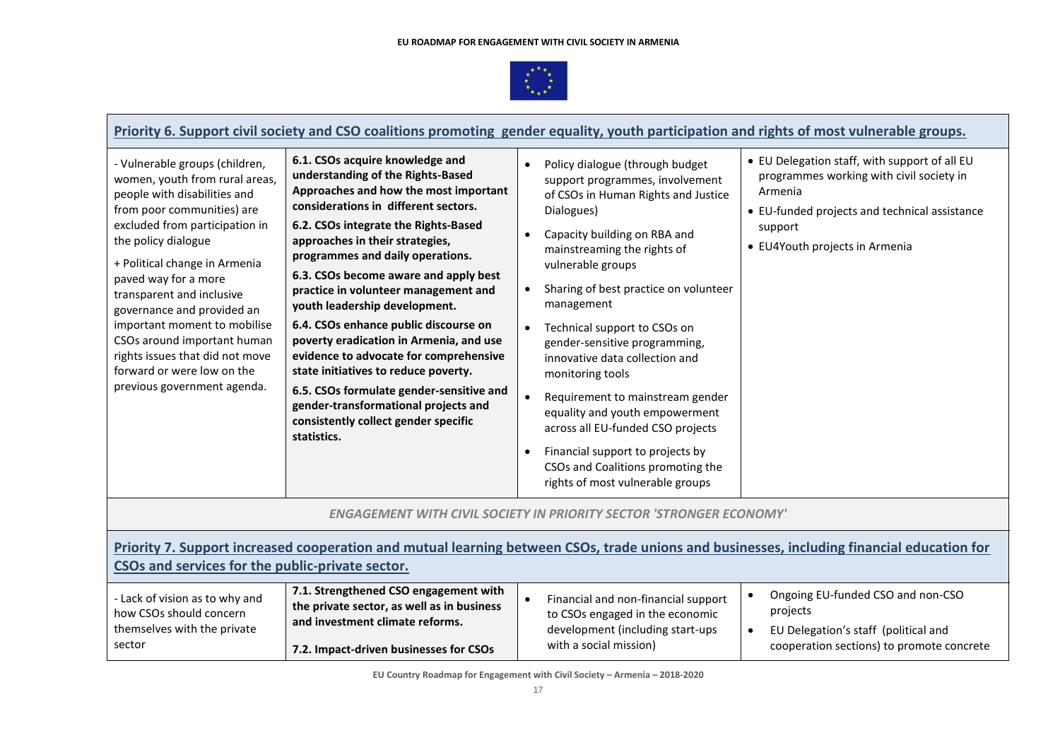

**Contract** 

|                                                                                                                                                                                                                                                                                                                                                                                                                                                                            |                                                                                                                                                                                                                                                                                                                                                                                                                                                                                                                                                                                                                                                                                                         | Priority 6. Support civil society and CSO coalitions promoting gender equality, youth participation and rights of most vulnerable groups.                                                                                                                                                                                                                                                                                                                                                                                                                                                                         |                                                                                                                                                                                                    |
|----------------------------------------------------------------------------------------------------------------------------------------------------------------------------------------------------------------------------------------------------------------------------------------------------------------------------------------------------------------------------------------------------------------------------------------------------------------------------|---------------------------------------------------------------------------------------------------------------------------------------------------------------------------------------------------------------------------------------------------------------------------------------------------------------------------------------------------------------------------------------------------------------------------------------------------------------------------------------------------------------------------------------------------------------------------------------------------------------------------------------------------------------------------------------------------------|-------------------------------------------------------------------------------------------------------------------------------------------------------------------------------------------------------------------------------------------------------------------------------------------------------------------------------------------------------------------------------------------------------------------------------------------------------------------------------------------------------------------------------------------------------------------------------------------------------------------|----------------------------------------------------------------------------------------------------------------------------------------------------------------------------------------------------|
| - Vulnerable groups (children,<br>women, youth from rural areas,<br>people with disabilities and<br>from poor communities) are<br>excluded from participation in<br>the policy dialogue<br>+ Political change in Armenia<br>paved way for a more<br>transparent and inclusive<br>governance and provided an<br>important moment to mobilise<br>CSOs around important human<br>rights issues that did not move<br>forward or were low on the<br>previous government agenda. | 6.1. CSOs acquire knowledge and<br>understanding of the Rights-Based<br>Approaches and how the most important<br>considerations in different sectors.<br>6.2. CSOs integrate the Rights-Based<br>approaches in their strategies,<br>programmes and daily operations.<br>6.3. CSOs become aware and apply best<br>practice in volunteer management and<br>youth leadership development.<br>6.4. CSOs enhance public discourse on<br>poverty eradication in Armenia, and use<br>evidence to advocate for comprehensive<br>state initiatives to reduce poverty.<br>6.5. CSOs formulate gender-sensitive and<br>gender-transformational projects and<br>consistently collect gender specific<br>statistics. | Policy dialogue (through budget<br>support programmes, involvement<br>of CSOs in Human Rights and Justice<br>Dialogues)<br>Capacity building on RBA and<br>mainstreaming the rights of<br>vulnerable groups<br>Sharing of best practice on volunteer<br>management<br>Technical support to CSOs on<br>gender-sensitive programming,<br>innovative data collection and<br>monitoring tools<br>Requirement to mainstream gender<br>equality and youth empowerment<br>across all EU-funded CSO projects<br>Financial support to projects by<br>CSOs and Coalitions promoting the<br>rights of most vulnerable groups | • EU Delegation staff, with support of all EU<br>programmes working with civil society in<br>Armenia<br>• EU-funded projects and technical assistance<br>support<br>• EU4Youth projects in Armenia |
|                                                                                                                                                                                                                                                                                                                                                                                                                                                                            |                                                                                                                                                                                                                                                                                                                                                                                                                                                                                                                                                                                                                                                                                                         | <b>ENGAGEMENT WITH CIVIL SOCIETY IN PRIORITY SECTOR 'STRONGER ECONOMY'</b>                                                                                                                                                                                                                                                                                                                                                                                                                                                                                                                                        |                                                                                                                                                                                                    |
| CSOs and services for the public-private sector.                                                                                                                                                                                                                                                                                                                                                                                                                           |                                                                                                                                                                                                                                                                                                                                                                                                                                                                                                                                                                                                                                                                                                         | Priority 7. Support increased cooperation and mutual learning between CSOs, trade unions and businesses, including financial education for                                                                                                                                                                                                                                                                                                                                                                                                                                                                        |                                                                                                                                                                                                    |
| - Lack of vision as to why and<br>how CSOs should concern<br>themselves with the private<br>sector                                                                                                                                                                                                                                                                                                                                                                         | 7.1. Strengthened CSO engagement with<br>the private sector, as well as in business<br>and investment climate reforms.<br>7.2. Impact-driven businesses for CSOs                                                                                                                                                                                                                                                                                                                                                                                                                                                                                                                                        | $\bullet$<br>Financial and non-financial support<br>to CSOs engaged in the economic<br>development (including start-ups<br>with a social mission)                                                                                                                                                                                                                                                                                                                                                                                                                                                                 | Ongoing EU-funded CSO and non-CSO<br>projects<br>EU Delegation's staff (political and<br>cooperation sections) to promote concrete                                                                 |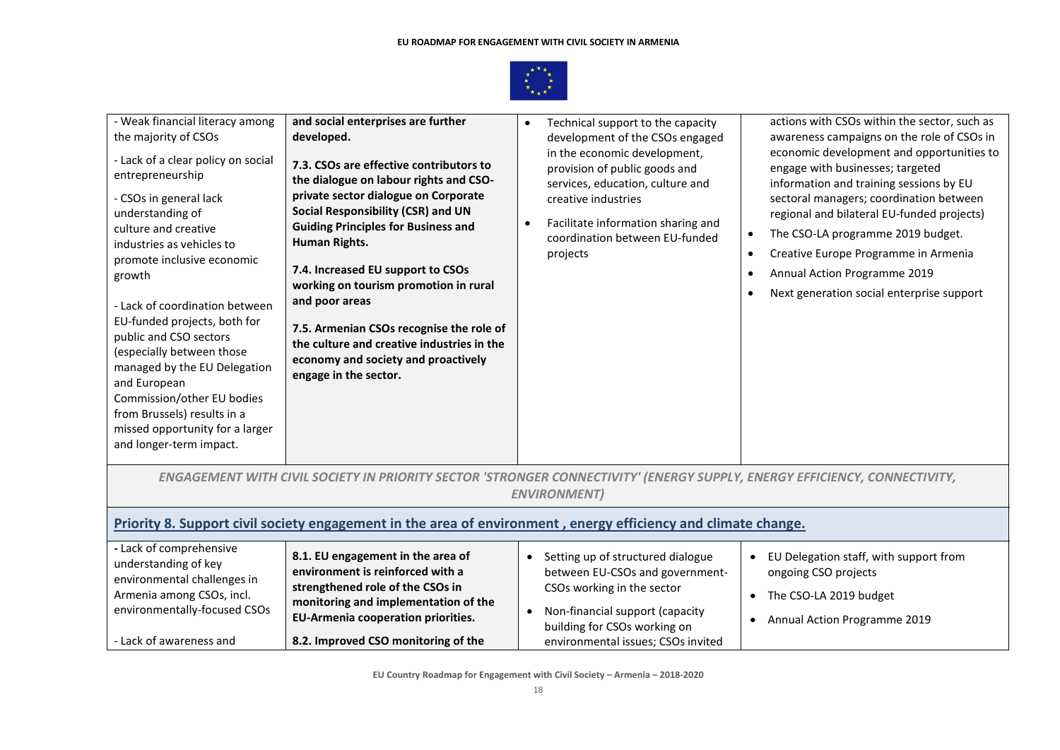

| - Weak financial literacy among<br>the majority of CSOs<br>- Lack of a clear policy on social<br>entrepreneurship<br>- CSOs in general lack<br>understanding of<br>culture and creative<br>industries as vehicles to<br>promote inclusive economic<br>growth<br>- Lack of coordination between<br>EU-funded projects, both for<br>public and CSO sectors<br>(especially between those<br>managed by the EU Delegation<br>and European<br>Commission/other EU bodies<br>from Brussels) results in a<br>missed opportunity for a larger<br>and longer-term impact. | and social enterprises are further<br>developed.<br>7.3. CSOs are effective contributors to<br>the dialogue on labour rights and CSO-<br>private sector dialogue on Corporate<br>Social Responsibility (CSR) and UN<br><b>Guiding Principles for Business and</b><br>Human Rights.<br>7.4. Increased EU support to CSOs<br>working on tourism promotion in rural<br>and poor areas<br>7.5. Armenian CSOs recognise the role of<br>the culture and creative industries in the<br>economy and society and proactively<br>engage in the sector. | Technical support to the capacity<br>development of the CSOs engaged<br>in the economic development,<br>provision of public goods and<br>services, education, culture and<br>creative industries<br>Facilitate information sharing and<br>coordination between EU-funded<br>projects | actions with CSOs within the sector, such as<br>awareness campaigns on the role of CSOs in<br>economic development and opportunities to<br>engage with businesses; targeted<br>information and training sessions by EU<br>sectoral managers; coordination between<br>regional and bilateral EU-funded projects)<br>The CSO-LA programme 2019 budget.<br>Creative Europe Programme in Armenia<br>$\bullet$<br>Annual Action Programme 2019<br>Next generation social enterprise support |  |  |  |
|------------------------------------------------------------------------------------------------------------------------------------------------------------------------------------------------------------------------------------------------------------------------------------------------------------------------------------------------------------------------------------------------------------------------------------------------------------------------------------------------------------------------------------------------------------------|----------------------------------------------------------------------------------------------------------------------------------------------------------------------------------------------------------------------------------------------------------------------------------------------------------------------------------------------------------------------------------------------------------------------------------------------------------------------------------------------------------------------------------------------|--------------------------------------------------------------------------------------------------------------------------------------------------------------------------------------------------------------------------------------------------------------------------------------|----------------------------------------------------------------------------------------------------------------------------------------------------------------------------------------------------------------------------------------------------------------------------------------------------------------------------------------------------------------------------------------------------------------------------------------------------------------------------------------|--|--|--|
|                                                                                                                                                                                                                                                                                                                                                                                                                                                                                                                                                                  | ENGAGEMENT WITH CIVIL SOCIETY IN PRIORITY SECTOR 'STRONGER CONNECTIVITY' (ENERGY SUPPLY, ENERGY EFFICIENCY, CONNECTIVITY,                                                                                                                                                                                                                                                                                                                                                                                                                    | <b>ENVIRONMENT)</b>                                                                                                                                                                                                                                                                  |                                                                                                                                                                                                                                                                                                                                                                                                                                                                                        |  |  |  |
| Priority 8. Support civil society engagement in the area of environment, energy efficiency and climate change.                                                                                                                                                                                                                                                                                                                                                                                                                                                   |                                                                                                                                                                                                                                                                                                                                                                                                                                                                                                                                              |                                                                                                                                                                                                                                                                                      |                                                                                                                                                                                                                                                                                                                                                                                                                                                                                        |  |  |  |
| - Lack of comprehensive<br>understanding of key<br>environmental challenges in<br>Armenia among CSOs, incl.<br>environmentally-focused CSOs<br>- Lack of awareness and                                                                                                                                                                                                                                                                                                                                                                                           | 8.1. EU engagement in the area of<br>environment is reinforced with a<br>strengthened role of the CSOs in<br>monitoring and implementation of the<br><b>EU-Armenia cooperation priorities.</b><br>8.2. Improved CSO monitoring of the                                                                                                                                                                                                                                                                                                        | Setting up of structured dialogue<br>$\bullet$<br>between EU-CSOs and government-<br>CSOs working in the sector<br>• Non-financial support (capacity<br>building for CSOs working on<br>environmental issues; CSOs invited                                                           | EU Delegation staff, with support from<br>$\bullet$<br>ongoing CSO projects<br>The CSO-LA 2019 budget<br>$\bullet$<br>Annual Action Programme 2019<br>$\bullet$                                                                                                                                                                                                                                                                                                                        |  |  |  |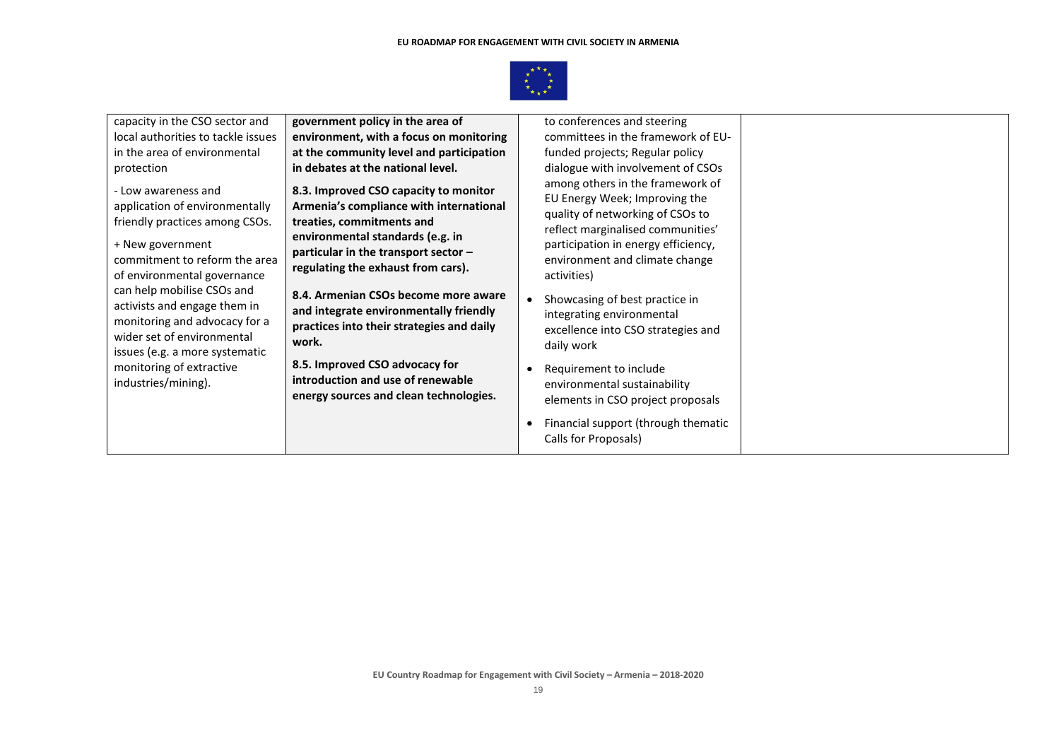

| capacity in the CSO sector and                                                                                                                                                                            | government policy in the area of                                                                                                                                                                                                | to conferences and steering                                                                                                                                                                                                        |  |
|-----------------------------------------------------------------------------------------------------------------------------------------------------------------------------------------------------------|---------------------------------------------------------------------------------------------------------------------------------------------------------------------------------------------------------------------------------|------------------------------------------------------------------------------------------------------------------------------------------------------------------------------------------------------------------------------------|--|
| local authorities to tackle issues                                                                                                                                                                        | environment, with a focus on monitoring                                                                                                                                                                                         | committees in the framework of EU-                                                                                                                                                                                                 |  |
| in the area of environmental                                                                                                                                                                              | at the community level and participation                                                                                                                                                                                        | funded projects; Regular policy                                                                                                                                                                                                    |  |
| protection                                                                                                                                                                                                | in debates at the national level.                                                                                                                                                                                               | dialogue with involvement of CSOs                                                                                                                                                                                                  |  |
| - Low awareness and<br>application of environmentally<br>friendly practices among CSOs.<br>+ New government<br>commitment to reform the area<br>of environmental governance<br>can help mobilise CSOs and | 8.3. Improved CSO capacity to monitor<br>Armenia's compliance with international<br>treaties, commitments and<br>environmental standards (e.g. in<br>particular in the transport sector -<br>regulating the exhaust from cars). | among others in the framework of<br>EU Energy Week; Improving the<br>quality of networking of CSOs to<br>reflect marginalised communities'<br>participation in energy efficiency,<br>environment and climate change<br>activities) |  |
| activists and engage them in<br>monitoring and advocacy for a<br>wider set of environmental                                                                                                               | 8.4. Armenian CSOs become more aware<br>and integrate environmentally friendly<br>practices into their strategies and daily<br>work.                                                                                            | Showcasing of best practice in<br>integrating environmental<br>excellence into CSO strategies and<br>daily work                                                                                                                    |  |
| issues (e.g. a more systematic<br>monitoring of extractive<br>industries/mining).                                                                                                                         | 8.5. Improved CSO advocacy for<br>introduction and use of renewable<br>energy sources and clean technologies.                                                                                                                   | Requirement to include<br>environmental sustainability<br>elements in CSO project proposals                                                                                                                                        |  |
|                                                                                                                                                                                                           |                                                                                                                                                                                                                                 | Financial support (through thematic<br>Calls for Proposals)                                                                                                                                                                        |  |